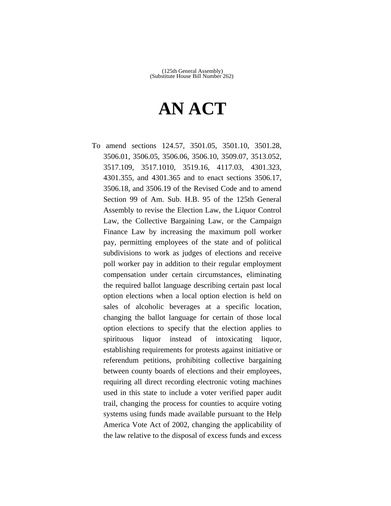# **AN ACT**

To amend sections 124.57, 3501.05, 3501.10, 3501.28, 3506.01, 3506.05, 3506.06, 3506.10, 3509.07, 3513.052, 3517.109, 3517.1010, 3519.16, 4117.03, 4301.323, 4301.355, and 4301.365 and to enact sections 3506.17, 3506.18, and 3506.19 of the Revised Code and to amend Section 99 of Am. Sub. H.B. 95 of the 125th General Assembly to revise the Election Law, the Liquor Control Law, the Collective Bargaining Law, or the Campaign Finance Law by increasing the maximum poll worker pay, permitting employees of the state and of political subdivisions to work as judges of elections and receive poll worker pay in addition to their regular employment compensation under certain circumstances, eliminating the required ballot language describing certain past local option elections when a local option election is held on sales of alcoholic beverages at a specific location, changing the ballot language for certain of those local option elections to specify that the election applies to spirituous liquor instead of intoxicating liquor, establishing requirements for protests against initiative or referendum petitions, prohibiting collective bargaining between county boards of elections and their employees, requiring all direct recording electronic voting machines used in this state to include a voter verified paper audit trail, changing the process for counties to acquire voting systems using funds made available pursuant to the Help America Vote Act of 2002, changing the applicability of the law relative to the disposal of excess funds and excess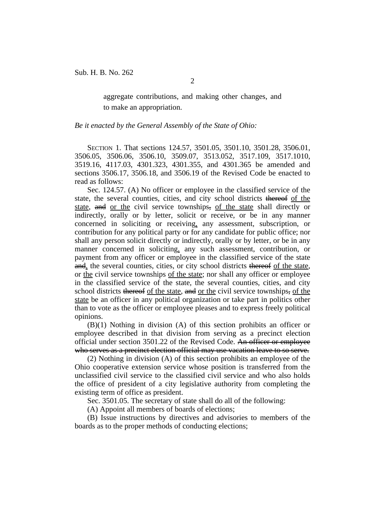aggregate contributions, and making other changes, and to make an appropriation.

*Be it enacted by the General Assembly of the State of Ohio:*

SECTION 1. That sections 124.57, 3501.05, 3501.10, 3501.28, 3506.01, 3506.05, 3506.06, 3506.10, 3509.07, 3513.052, 3517.109, 3517.1010, 3519.16, 4117.03, 4301.323, 4301.355, and 4301.365 be amended and sections 3506.17, 3506.18, and 3506.19 of the Revised Code be enacted to read as follows:

Sec. 124.57. (A) No officer or employee in the classified service of the state, the several counties, cities, and city school districts thereof of the state, and or the civil service townships, of the state shall directly or indirectly, orally or by letter, solicit or receive, or be in any manner concerned in soliciting or receiving, any assessment, subscription, or contribution for any political party or for any candidate for public office; nor shall any person solicit directly or indirectly, orally or by letter, or be in any manner concerned in soliciting, any such assessment, contribution, or payment from any officer or employee in the classified service of the state and, the several counties, cities, or city school districts thereof of the state, or the civil service townships of the state; nor shall any officer or employee in the classified service of the state, the several counties, cities, and city school districts thereof of the state, and or the civil service townships, of the state be an officer in any political organization or take part in politics other than to vote as the officer or employee pleases and to express freely political opinions.

(B)(1) Nothing in division (A) of this section prohibits an officer or employee described in that division from serving as a precinct election official under section 3501.22 of the Revised Code. An officer or employee who serves as a precinct election official may use vacation leave to so serve.

(2) Nothing in division (A) of this section prohibits an employee of the Ohio cooperative extension service whose position is transferred from the unclassified civil service to the classified civil service and who also holds the office of president of a city legislative authority from completing the existing term of office as president.

Sec. 3501.05. The secretary of state shall do all of the following:

(A) Appoint all members of boards of elections;

(B) Issue instructions by directives and advisories to members of the boards as to the proper methods of conducting elections;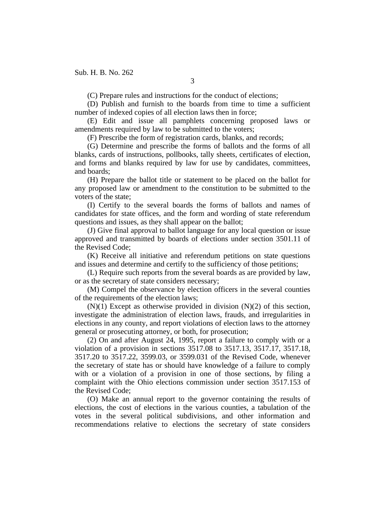(C) Prepare rules and instructions for the conduct of elections;

(D) Publish and furnish to the boards from time to time a sufficient number of indexed copies of all election laws then in force;

(E) Edit and issue all pamphlets concerning proposed laws or amendments required by law to be submitted to the voters;

(F) Prescribe the form of registration cards, blanks, and records;

(G) Determine and prescribe the forms of ballots and the forms of all blanks, cards of instructions, pollbooks, tally sheets, certificates of election, and forms and blanks required by law for use by candidates, committees, and boards;

(H) Prepare the ballot title or statement to be placed on the ballot for any proposed law or amendment to the constitution to be submitted to the voters of the state;

(I) Certify to the several boards the forms of ballots and names of candidates for state offices, and the form and wording of state referendum questions and issues, as they shall appear on the ballot;

(J) Give final approval to ballot language for any local question or issue approved and transmitted by boards of elections under section 3501.11 of the Revised Code;

(K) Receive all initiative and referendum petitions on state questions and issues and determine and certify to the sufficiency of those petitions;

(L) Require such reports from the several boards as are provided by law, or as the secretary of state considers necessary;

(M) Compel the observance by election officers in the several counties of the requirements of the election laws;

 $(N)(1)$  Except as otherwise provided in division  $(N)(2)$  of this section, investigate the administration of election laws, frauds, and irregularities in elections in any county, and report violations of election laws to the attorney general or prosecuting attorney, or both, for prosecution;

(2) On and after August 24, 1995, report a failure to comply with or a violation of a provision in sections 3517.08 to 3517.13, 3517.17, 3517.18, 3517.20 to 3517.22, 3599.03, or 3599.031 of the Revised Code, whenever the secretary of state has or should have knowledge of a failure to comply with or a violation of a provision in one of those sections, by filing a complaint with the Ohio elections commission under section 3517.153 of the Revised Code;

(O) Make an annual report to the governor containing the results of elections, the cost of elections in the various counties, a tabulation of the votes in the several political subdivisions, and other information and recommendations relative to elections the secretary of state considers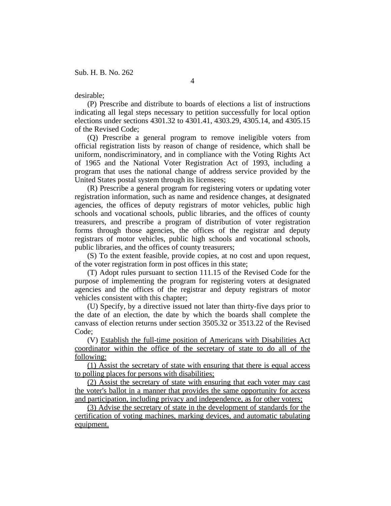### desirable;

(P) Prescribe and distribute to boards of elections a list of instructions indicating all legal steps necessary to petition successfully for local option elections under sections 4301.32 to 4301.41, 4303.29, 4305.14, and 4305.15 of the Revised Code;

(Q) Prescribe a general program to remove ineligible voters from official registration lists by reason of change of residence, which shall be uniform, nondiscriminatory, and in compliance with the Voting Rights Act of 1965 and the National Voter Registration Act of 1993, including a program that uses the national change of address service provided by the United States postal system through its licensees;

(R) Prescribe a general program for registering voters or updating voter registration information, such as name and residence changes, at designated agencies, the offices of deputy registrars of motor vehicles, public high schools and vocational schools, public libraries, and the offices of county treasurers, and prescribe a program of distribution of voter registration forms through those agencies, the offices of the registrar and deputy registrars of motor vehicles, public high schools and vocational schools, public libraries, and the offices of county treasurers;

(S) To the extent feasible, provide copies, at no cost and upon request, of the voter registration form in post offices in this state;

(T) Adopt rules pursuant to section 111.15 of the Revised Code for the purpose of implementing the program for registering voters at designated agencies and the offices of the registrar and deputy registrars of motor vehicles consistent with this chapter;

(U) Specify, by a directive issued not later than thirty-five days prior to the date of an election, the date by which the boards shall complete the canvass of election returns under section 3505.32 or 3513.22 of the Revised Code;

(V) Establish the full-time position of Americans with Disabilities Act coordinator within the office of the secretary of state to do all of the following:

(1) Assist the secretary of state with ensuring that there is equal access to polling places for persons with disabilities;

(2) Assist the secretary of state with ensuring that each voter may cast the voter's ballot in a manner that provides the same opportunity for access and participation, including privacy and independence, as for other voters;

(3) Advise the secretary of state in the development of standards for the certification of voting machines, marking devices, and automatic tabulating equipment.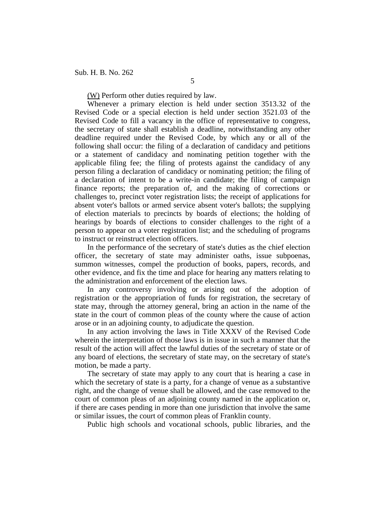(W) Perform other duties required by law.

Whenever a primary election is held under section 3513.32 of the Revised Code or a special election is held under section 3521.03 of the Revised Code to fill a vacancy in the office of representative to congress, the secretary of state shall establish a deadline, notwithstanding any other deadline required under the Revised Code, by which any or all of the following shall occur: the filing of a declaration of candidacy and petitions or a statement of candidacy and nominating petition together with the applicable filing fee; the filing of protests against the candidacy of any person filing a declaration of candidacy or nominating petition; the filing of a declaration of intent to be a write-in candidate; the filing of campaign finance reports; the preparation of, and the making of corrections or challenges to, precinct voter registration lists; the receipt of applications for absent voter's ballots or armed service absent voter's ballots; the supplying of election materials to precincts by boards of elections; the holding of hearings by boards of elections to consider challenges to the right of a person to appear on a voter registration list; and the scheduling of programs to instruct or reinstruct election officers.

In the performance of the secretary of state's duties as the chief election officer, the secretary of state may administer oaths, issue subpoenas, summon witnesses, compel the production of books, papers, records, and other evidence, and fix the time and place for hearing any matters relating to the administration and enforcement of the election laws.

In any controversy involving or arising out of the adoption of registration or the appropriation of funds for registration, the secretary of state may, through the attorney general, bring an action in the name of the state in the court of common pleas of the county where the cause of action arose or in an adjoining county, to adjudicate the question.

In any action involving the laws in Title XXXV of the Revised Code wherein the interpretation of those laws is in issue in such a manner that the result of the action will affect the lawful duties of the secretary of state or of any board of elections, the secretary of state may, on the secretary of state's motion, be made a party.

The secretary of state may apply to any court that is hearing a case in which the secretary of state is a party, for a change of venue as a substantive right, and the change of venue shall be allowed, and the case removed to the court of common pleas of an adjoining county named in the application or, if there are cases pending in more than one jurisdiction that involve the same or similar issues, the court of common pleas of Franklin county.

Public high schools and vocational schools, public libraries, and the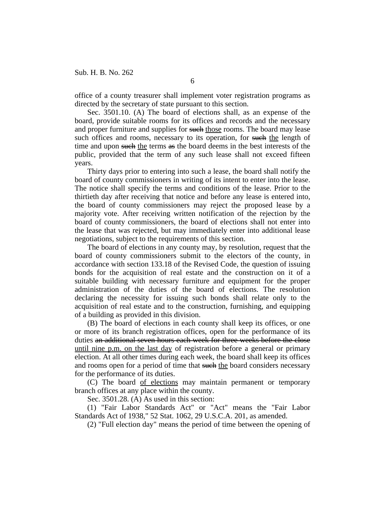office of a county treasurer shall implement voter registration programs as directed by the secretary of state pursuant to this section.

Sec. 3501.10. (A) The board of elections shall, as an expense of the board, provide suitable rooms for its offices and records and the necessary and proper furniture and supplies for such those rooms. The board may lease such offices and rooms, necessary to its operation, for such the length of time and upon such the terms as the board deems in the best interests of the public, provided that the term of any such lease shall not exceed fifteen years.

Thirty days prior to entering into such a lease, the board shall notify the board of county commissioners in writing of its intent to enter into the lease. The notice shall specify the terms and conditions of the lease. Prior to the thirtieth day after receiving that notice and before any lease is entered into, the board of county commissioners may reject the proposed lease by a majority vote. After receiving written notification of the rejection by the board of county commissioners, the board of elections shall not enter into the lease that was rejected, but may immediately enter into additional lease negotiations, subject to the requirements of this section.

The board of elections in any county may, by resolution, request that the board of county commissioners submit to the electors of the county, in accordance with section 133.18 of the Revised Code, the question of issuing bonds for the acquisition of real estate and the construction on it of a suitable building with necessary furniture and equipment for the proper administration of the duties of the board of elections. The resolution declaring the necessity for issuing such bonds shall relate only to the acquisition of real estate and to the construction, furnishing, and equipping of a building as provided in this division.

(B) The board of elections in each county shall keep its offices, or one or more of its branch registration offices, open for the performance of its duties an additional seven hours each week for three weeks before the close until nine p.m. on the last day of registration before a general or primary election. At all other times during each week, the board shall keep its offices and rooms open for a period of time that such the board considers necessary for the performance of its duties.

(C) The board of elections may maintain permanent or temporary branch offices at any place within the county.

Sec. 3501.28. (A) As used in this section:

(1) "Fair Labor Standards Act" or "Act" means the "Fair Labor Standards Act of 1938," 52 Stat. 1062, 29 U.S.C.A. 201, as amended.

(2) "Full election day" means the period of time between the opening of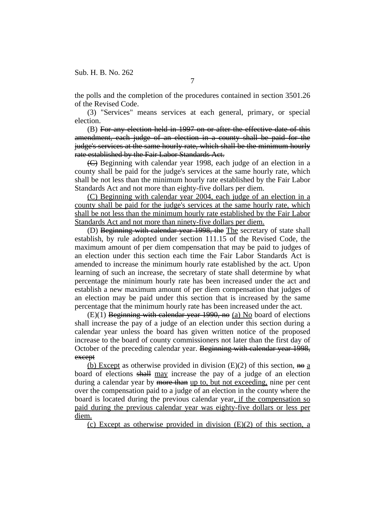the polls and the completion of the procedures contained in section 3501.26 of the Revised Code.

(3) "Services" means services at each general, primary, or special election.

(B) For any election held in 1997 on or after the effective date of this amendment, each judge of an election in a county shall be paid for the judge's services at the same hourly rate, which shall be the minimum hourly rate established by the Fair Labor Standards Act.

(C) Beginning with calendar year 1998, each judge of an election in a county shall be paid for the judge's services at the same hourly rate, which shall be not less than the minimum hourly rate established by the Fair Labor Standards Act and not more than eighty-five dollars per diem.

(C) Beginning with calendar year 2004, each judge of an election in a county shall be paid for the judge's services at the same hourly rate, which shall be not less than the minimum hourly rate established by the Fair Labor Standards Act and not more than ninety-five dollars per diem.

(D) Beginning with calendar year 1998, the The secretary of state shall establish, by rule adopted under section 111.15 of the Revised Code, the maximum amount of per diem compensation that may be paid to judges of an election under this section each time the Fair Labor Standards Act is amended to increase the minimum hourly rate established by the act. Upon learning of such an increase, the secretary of state shall determine by what percentage the minimum hourly rate has been increased under the act and establish a new maximum amount of per diem compensation that judges of an election may be paid under this section that is increased by the same percentage that the minimum hourly rate has been increased under the act.

 $(E)(1)$  Beginning with calendar year 1990, no (a) No board of elections shall increase the pay of a judge of an election under this section during a calendar year unless the board has given written notice of the proposed increase to the board of county commissioners not later than the first day of October of the preceding calendar year. Beginning with calendar year 1998, except

(b) Except as otherwise provided in division  $(E)(2)$  of this section, no a board of elections shall may increase the pay of a judge of an election during a calendar year by more than up to, but not exceeding, nine per cent over the compensation paid to a judge of an election in the county where the board is located during the previous calendar year, if the compensation so paid during the previous calendar year was eighty-five dollars or less per diem.

(c) Except as otherwise provided in division  $(E)(2)$  of this section, a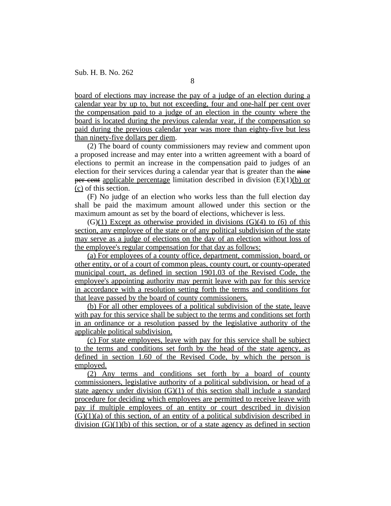board of elections may increase the pay of a judge of an election during a calendar year by up to, but not exceeding, four and one-half per cent over the compensation paid to a judge of an election in the county where the board is located during the previous calendar year, if the compensation so paid during the previous calendar year was more than eighty-five but less than ninety-five dollars per diem.

(2) The board of county commissioners may review and comment upon a proposed increase and may enter into a written agreement with a board of elections to permit an increase in the compensation paid to judges of an election for their services during a calendar year that is greater than the nine per cent applicable percentage limitation described in division  $(E)(1)(b)$  or (c) of this section.

(F) No judge of an election who works less than the full election day shall be paid the maximum amount allowed under this section or the maximum amount as set by the board of elections, whichever is less.

 $(G)(1)$  Except as otherwise provided in divisions  $(G)(4)$  to  $(6)$  of this section, any employee of the state or of any political subdivision of the state may serve as a judge of elections on the day of an election without loss of the employee's regular compensation for that day as follows:

(a) For employees of a county office, department, commission, board, or other entity, or of a court of common pleas, county court, or county-operated municipal court, as defined in section 1901.03 of the Revised Code, the employee's appointing authority may permit leave with pay for this service in accordance with a resolution setting forth the terms and conditions for that leave passed by the board of county commissioners.

(b) For all other employees of a political subdivision of the state, leave with pay for this service shall be subject to the terms and conditions set forth in an ordinance or a resolution passed by the legislative authority of the applicable political subdivision.

(c) For state employees, leave with pay for this service shall be subject to the terms and conditions set forth by the head of the state agency, as defined in section 1.60 of the Revised Code, by which the person is employed.

(2) Any terms and conditions set forth by a board of county commissioners, legislative authority of a political subdivision, or head of a state agency under division (G)(1) of this section shall include a standard procedure for deciding which employees are permitted to receive leave with pay if multiple employees of an entity or court described in division  $(G)(1)(a)$  of this section, of an entity of a political subdivision described in division  $(G)(1)(b)$  of this section, or of a state agency as defined in section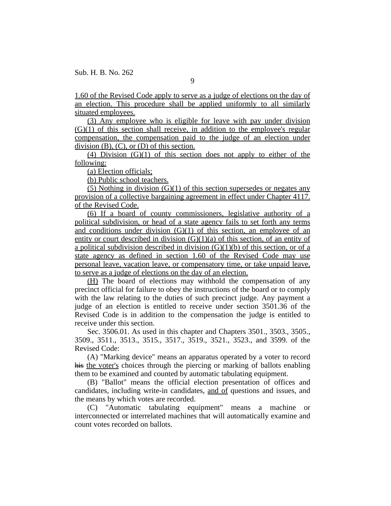1.60 of the Revised Code apply to serve as a judge of elections on the day of an election. This procedure shall be applied uniformly to all similarly situated employees.

(3) Any employee who is eligible for leave with pay under division  $(G)(1)$  of this section shall receive, in addition to the employee's regular compensation, the compensation paid to the judge of an election under division  $(B)$ ,  $(C)$ , or  $(D)$  of this section.

 $(4)$  Division  $(G)(1)$  of this section does not apply to either of the following:

(a) Election officials;

(b) Public school teachers.

(5) Nothing in division  $(G)(1)$  of this section supersedes or negates any provision of a collective bargaining agreement in effect under Chapter 4117. of the Revised Code.

(6) If a board of county commissioners, legislative authority of a political subdivision, or head of a state agency fails to set forth any terms and conditions under division  $(G)(1)$  of this section, an employee of an entity or court described in division  $(G)(1)(a)$  of this section, of an entity of a political subdivision described in division  $(G)(1)(b)$  of this section, or of a state agency as defined in section 1.60 of the Revised Code may use personal leave, vacation leave, or compensatory time, or take unpaid leave, to serve as a judge of elections on the day of an election.

(H) The board of elections may withhold the compensation of any precinct official for failure to obey the instructions of the board or to comply with the law relating to the duties of such precinct judge. Any payment a judge of an election is entitled to receive under section 3501.36 of the Revised Code is in addition to the compensation the judge is entitled to receive under this section.

Sec. 3506.01. As used in this chapter and Chapters 3501., 3503., 3505., 3509., 3511., 3513., 3515., 3517., 3519., 3521., 3523., and 3599. of the Revised Code:

(A) "Marking device" means an apparatus operated by a voter to record his the voter's choices through the piercing or marking of ballots enabling them to be examined and counted by automatic tabulating equipment.

(B) "Ballot" means the official election presentation of offices and candidates, including write-in candidates, and of questions and issues, and the means by which votes are recorded.

(C) "Automatic tabulating equipment" means a machine or interconnected or interrelated machines that will automatically examine and count votes recorded on ballots.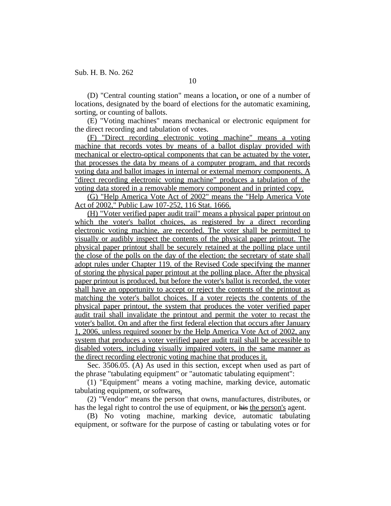(D) "Central counting station" means a location, or one of a number of locations, designated by the board of elections for the automatic examining, sorting, or counting of ballots.

(E) "Voting machines" means mechanical or electronic equipment for the direct recording and tabulation of votes.

(F) "Direct recording electronic voting machine" means a voting machine that records votes by means of a ballot display provided with mechanical or electro-optical components that can be actuated by the voter, that processes the data by means of a computer program, and that records voting data and ballot images in internal or external memory components. A "direct recording electronic voting machine" produces a tabulation of the voting data stored in a removable memory component and in printed copy.

(G) "Help America Vote Act of 2002" means the "Help America Vote Act of 2002," Public Law 107-252, 116 Stat. 1666.

(H) "Voter verified paper audit trail" means a physical paper printout on which the voter's ballot choices, as registered by a direct recording electronic voting machine, are recorded. The voter shall be permitted to visually or audibly inspect the contents of the physical paper printout. The physical paper printout shall be securely retained at the polling place until the close of the polls on the day of the election; the secretary of state shall adopt rules under Chapter 119. of the Revised Code specifying the manner of storing the physical paper printout at the polling place. After the physical paper printout is produced, but before the voter's ballot is recorded, the voter shall have an opportunity to accept or reject the contents of the printout as matching the voter's ballot choices. If a voter rejects the contents of the physical paper printout, the system that produces the voter verified paper audit trail shall invalidate the printout and permit the voter to recast the voter's ballot. On and after the first federal election that occurs after January 1, 2006, unless required sooner by the Help America Vote Act of 2002, any system that produces a voter verified paper audit trail shall be accessible to disabled voters, including visually impaired voters, in the same manner as the direct recording electronic voting machine that produces it.

Sec. 3506.05. (A) As used in this section, except when used as part of the phrase "tabulating equipment" or "automatic tabulating equipment":

(1) "Equipment" means a voting machine, marking device, automatic tabulating equipment, or software;.

(2) "Vendor" means the person that owns, manufactures, distributes, or has the legal right to control the use of equipment, or his the person's agent.

(B) No voting machine, marking device, automatic tabulating equipment, or software for the purpose of casting or tabulating votes or for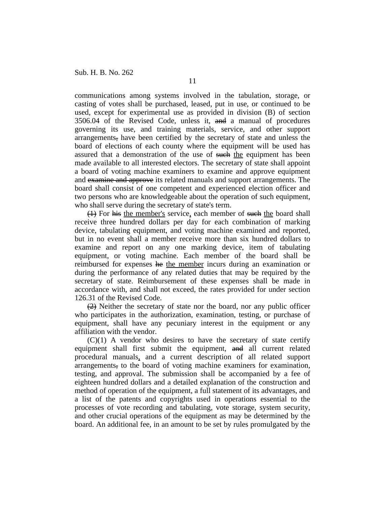communications among systems involved in the tabulation, storage, or casting of votes shall be purchased, leased, put in use, or continued to be used, except for experimental use as provided in division (B) of section 3506.04 of the Revised Code, unless it, and a manual of procedures governing its use, and training materials, service, and other support arrangements, have been certified by the secretary of state and unless the board of elections of each county where the equipment will be used has assured that a demonstration of the use of such the equipment has been made available to all interested electors. The secretary of state shall appoint a board of voting machine examiners to examine and approve equipment and examine and approve its related manuals and support arrangements. The board shall consist of one competent and experienced election officer and two persons who are knowledgeable about the operation of such equipment, who shall serve during the secretary of state's term.

(4) For his the member's service, each member of such the board shall receive three hundred dollars per day for each combination of marking device, tabulating equipment, and voting machine examined and reported, but in no event shall a member receive more than six hundred dollars to examine and report on any one marking device, item of tabulating equipment, or voting machine. Each member of the board shall be reimbursed for expenses he the member incurs during an examination or during the performance of any related duties that may be required by the secretary of state. Reimbursement of these expenses shall be made in accordance with, and shall not exceed, the rates provided for under section 126.31 of the Revised Code.

 $(2)$  Neither the secretary of state nor the board, nor any public officer who participates in the authorization, examination, testing, or purchase of equipment, shall have any pecuniary interest in the equipment or any affiliation with the vendor.

 $(C)(1)$  A vendor who desires to have the secretary of state certify equipment shall first submit the equipment, and all current related procedural manuals, and a current description of all related support arrangements, to the board of voting machine examiners for examination, testing, and approval. The submission shall be accompanied by a fee of eighteen hundred dollars and a detailed explanation of the construction and method of operation of the equipment, a full statement of its advantages, and a list of the patents and copyrights used in operations essential to the processes of vote recording and tabulating, vote storage, system security, and other crucial operations of the equipment as may be determined by the board. An additional fee, in an amount to be set by rules promulgated by the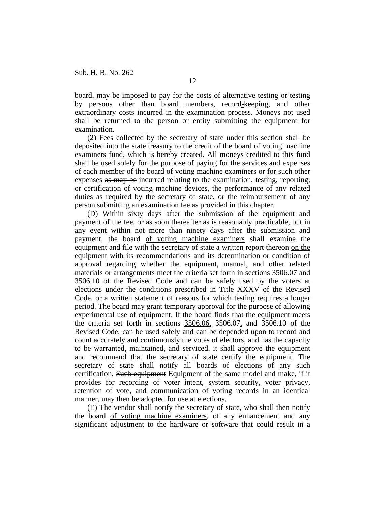board, may be imposed to pay for the costs of alternative testing or testing by persons other than board members, record-keeping, and other extraordinary costs incurred in the examination process. Moneys not used shall be returned to the person or entity submitting the equipment for examination.

(2) Fees collected by the secretary of state under this section shall be deposited into the state treasury to the credit of the board of voting machine examiners fund, which is hereby created. All moneys credited to this fund shall be used solely for the purpose of paying for the services and expenses of each member of the board of voting machine examiners or for such other expenses as may be incurred relating to the examination, testing, reporting, or certification of voting machine devices, the performance of any related duties as required by the secretary of state, or the reimbursement of any person submitting an examination fee as provided in this chapter.

(D) Within sixty days after the submission of the equipment and payment of the fee, or as soon thereafter as is reasonably practicable, but in any event within not more than ninety days after the submission and payment, the board of voting machine examiners shall examine the equipment and file with the secretary of state a written report thereon on the equipment with its recommendations and its determination or condition of approval regarding whether the equipment, manual, and other related materials or arrangements meet the criteria set forth in sections 3506.07 and 3506.10 of the Revised Code and can be safely used by the voters at elections under the conditions prescribed in Title XXXV of the Revised Code, or a written statement of reasons for which testing requires a longer period. The board may grant temporary approval for the purpose of allowing experimental use of equipment. If the board finds that the equipment meets the criteria set forth in sections  $3506.06$ ,  $3506.07$ , and  $3506.10$  of the Revised Code, can be used safely and can be depended upon to record and count accurately and continuously the votes of electors, and has the capacity to be warranted, maintained, and serviced, it shall approve the equipment and recommend that the secretary of state certify the equipment. The secretary of state shall notify all boards of elections of any such certification. Such equipment Equipment of the same model and make, if it provides for recording of voter intent, system security, voter privacy, retention of vote, and communication of voting records in an identical manner, may then be adopted for use at elections.

(E) The vendor shall notify the secretary of state, who shall then notify the board of voting machine examiners, of any enhancement and any significant adjustment to the hardware or software that could result in a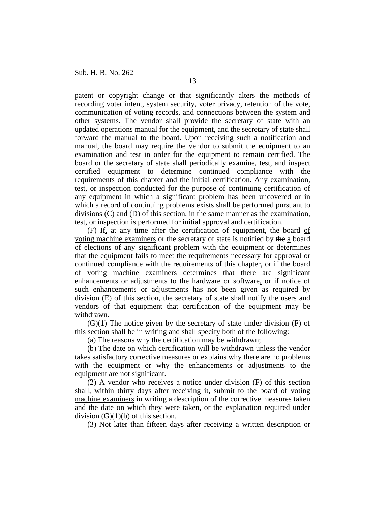patent or copyright change or that significantly alters the methods of recording voter intent, system security, voter privacy, retention of the vote, communication of voting records, and connections between the system and other systems. The vendor shall provide the secretary of state with an updated operations manual for the equipment, and the secretary of state shall forward the manual to the board. Upon receiving such a notification and manual, the board may require the vendor to submit the equipment to an examination and test in order for the equipment to remain certified. The board or the secretary of state shall periodically examine, test, and inspect certified equipment to determine continued compliance with the requirements of this chapter and the initial certification. Any examination, test, or inspection conducted for the purpose of continuing certification of any equipment in which a significant problem has been uncovered or in which a record of continuing problems exists shall be performed pursuant to divisions (C) and (D) of this section, in the same manner as the examination, test, or inspection is performed for initial approval and certification.

(F) If, at any time after the certification of equipment, the board of voting machine examiners or the secretary of state is notified by the a board of elections of any significant problem with the equipment or determines that the equipment fails to meet the requirements necessary for approval or continued compliance with the requirements of this chapter, or if the board of voting machine examiners determines that there are significant enhancements or adjustments to the hardware or software, or if notice of such enhancements or adjustments has not been given as required by division (E) of this section, the secretary of state shall notify the users and vendors of that equipment that certification of the equipment may be withdrawn.

 $(G)(1)$  The notice given by the secretary of state under division  $(F)$  of this section shall be in writing and shall specify both of the following:

(a) The reasons why the certification may be withdrawn;

(b) The date on which certification will be withdrawn unless the vendor takes satisfactory corrective measures or explains why there are no problems with the equipment or why the enhancements or adjustments to the equipment are not significant.

(2) A vendor who receives a notice under division (F) of this section shall, within thirty days after receiving it, submit to the board of voting machine examiners in writing a description of the corrective measures taken and the date on which they were taken, or the explanation required under division (G)(1)(b) of this section.

(3) Not later than fifteen days after receiving a written description or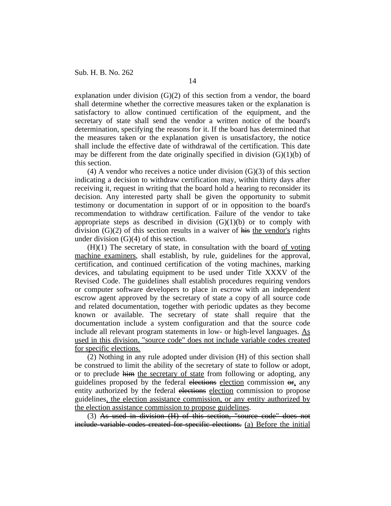explanation under division  $(G)(2)$  of this section from a vendor, the board shall determine whether the corrective measures taken or the explanation is satisfactory to allow continued certification of the equipment, and the secretary of state shall send the vendor a written notice of the board's determination, specifying the reasons for it. If the board has determined that the measures taken or the explanation given is unsatisfactory, the notice shall include the effective date of withdrawal of the certification. This date may be different from the date originally specified in division  $(G)(1)(b)$  of this section.

(4) A vendor who receives a notice under division  $(G)(3)$  of this section indicating a decision to withdraw certification may, within thirty days after receiving it, request in writing that the board hold a hearing to reconsider its decision. Any interested party shall be given the opportunity to submit testimony or documentation in support of or in opposition to the board's recommendation to withdraw certification. Failure of the vendor to take appropriate steps as described in division  $(G)(1)(b)$  or to comply with division  $(G)(2)$  of this section results in a waiver of his the vendor's rights under division (G)(4) of this section.

 $(H)(1)$  The secretary of state, in consultation with the board of voting machine examiners, shall establish, by rule, guidelines for the approval, certification, and continued certification of the voting machines, marking devices, and tabulating equipment to be used under Title XXXV of the Revised Code. The guidelines shall establish procedures requiring vendors or computer software developers to place in escrow with an independent escrow agent approved by the secretary of state a copy of all source code and related documentation, together with periodic updates as they become known or available. The secretary of state shall require that the documentation include a system configuration and that the source code include all relevant program statements in low- or high-level languages. As used in this division, "source code" does not include variable codes created for specific elections.

(2) Nothing in any rule adopted under division (H) of this section shall be construed to limit the ability of the secretary of state to follow or adopt, or to preclude him the secretary of state from following or adopting, any guidelines proposed by the federal elections election commission or, any entity authorized by the federal elections election commission to propose guidelines, the election assistance commission, or any entity authorized by the election assistance commission to propose guidelines.

(3) As used in division (H) of this section, "source code" does not include variable codes created for specific elections. (a) Before the initial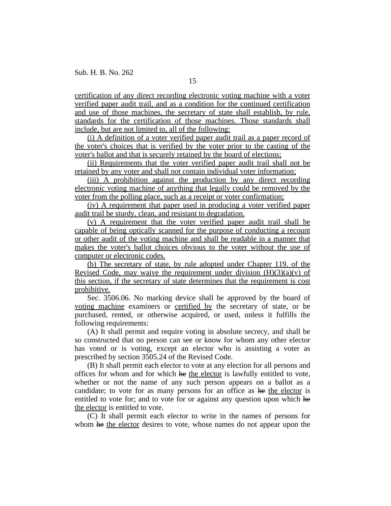certification of any direct recording electronic voting machine with a voter verified paper audit trail, and as a condition for the continued certification and use of those machines, the secretary of state shall establish, by rule, standards for the certification of those machines. Those standards shall include, but are not limited to, all of the following:

(i) A definition of a voter verified paper audit trail as a paper record of the voter's choices that is verified by the voter prior to the casting of the voter's ballot and that is securely retained by the board of elections;

(ii) Requirements that the voter verified paper audit trail shall not be retained by any voter and shall not contain individual voter information;

(iii) A prohibition against the production by any direct recording electronic voting machine of anything that legally could be removed by the voter from the polling place, such as a receipt or voter confirmation;

(iv) A requirement that paper used in producing a voter verified paper audit trail be sturdy, clean, and resistant to degradation.

(v) A requirement that the voter verified paper audit trail shall be capable of being optically scanned for the purpose of conducting a recount or other audit of the voting machine and shall be readable in a manner that makes the voter's ballot choices obvious to the voter without the use of computer or electronic codes.

(b) The secretary of state, by rule adopted under Chapter 119. of the Revised Code, may waive the requirement under division  $(H)(3)(a)(v)$  of this section, if the secretary of state determines that the requirement is cost prohibitive.

Sec. 3506.06. No marking device shall be approved by the board of voting machine examiners or certified by the secretary of state, or be purchased, rented, or otherwise acquired, or used, unless it fulfills the following requirements:

(A) It shall permit and require voting in absolute secrecy, and shall be so constructed that no person can see or know for whom any other elector has voted or is voting, except an elector who is assisting a voter as prescribed by section 3505.24 of the Revised Code.

(B) It shall permit each elector to vote at any election for all persons and offices for whom and for which he the elector is lawfully entitled to vote, whether or not the name of any such person appears on a ballot as a candidate; to vote for as many persons for an office as he the elector is entitled to vote for; and to vote for or against any question upon which he the elector is entitled to vote.

(C) It shall permit each elector to write in the names of persons for whom he the elector desires to vote, whose names do not appear upon the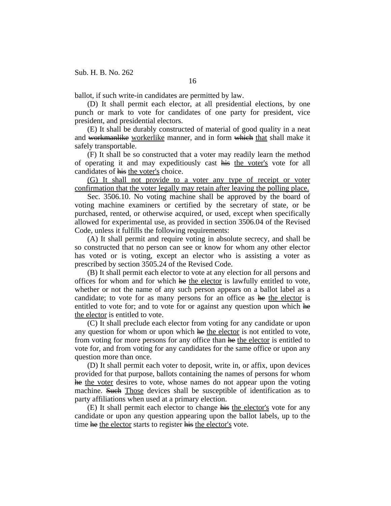ballot, if such write-in candidates are permitted by law.

(D) It shall permit each elector, at all presidential elections, by one punch or mark to vote for candidates of one party for president, vice president, and presidential electors.

(E) It shall be durably constructed of material of good quality in a neat and workmanlike workerlike manner, and in form which that shall make it safely transportable.

(F) It shall be so constructed that a voter may readily learn the method of operating it and may expeditiously cast his the voter's vote for all candidates of his the voter's choice.

(G) It shall not provide to a voter any type of receipt or voter confirmation that the voter legally may retain after leaving the polling place.

Sec. 3506.10. No voting machine shall be approved by the board of voting machine examiners or certified by the secretary of state, or be purchased, rented, or otherwise acquired, or used, except when specifically allowed for experimental use, as provided in section 3506.04 of the Revised Code, unless it fulfills the following requirements:

(A) It shall permit and require voting in absolute secrecy, and shall be so constructed that no person can see or know for whom any other elector has voted or is voting, except an elector who is assisting a voter as prescribed by section 3505.24 of the Revised Code.

(B) It shall permit each elector to vote at any election for all persons and offices for whom and for which he the elector is lawfully entitled to vote, whether or not the name of any such person appears on a ballot label as a candidate; to vote for as many persons for an office as he the elector is entitled to vote for; and to vote for or against any question upon which he the elector is entitled to vote.

(C) It shall preclude each elector from voting for any candidate or upon any question for whom or upon which he the elector is not entitled to vote, from voting for more persons for any office than he the elector is entitled to vote for, and from voting for any candidates for the same office or upon any question more than once.

(D) It shall permit each voter to deposit, write in, or affix, upon devices provided for that purpose, ballots containing the names of persons for whom he the voter desires to vote, whose names do not appear upon the voting machine. Such Those devices shall be susceptible of identification as to party affiliations when used at a primary election.

(E) It shall permit each elector to change his the elector's vote for any candidate or upon any question appearing upon the ballot labels, up to the time he the elector starts to register his the elector's vote.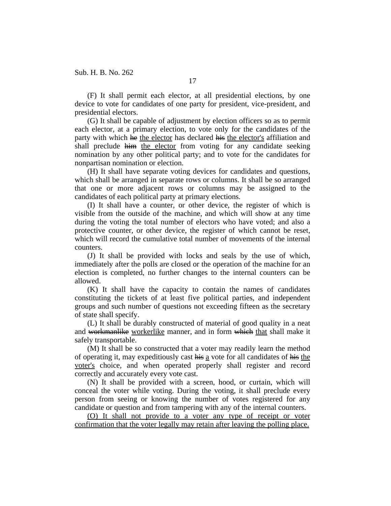(F) It shall permit each elector, at all presidential elections, by one device to vote for candidates of one party for president, vice-president, and presidential electors.

(G) It shall be capable of adjustment by election officers so as to permit each elector, at a primary election, to vote only for the candidates of the party with which he the elector has declared his the elector's affiliation and shall preclude him the elector from voting for any candidate seeking nomination by any other political party; and to vote for the candidates for nonpartisan nomination or election.

(H) It shall have separate voting devices for candidates and questions, which shall be arranged in separate rows or columns. It shall be so arranged that one or more adjacent rows or columns may be assigned to the candidates of each political party at primary elections.

(I) It shall have a counter, or other device, the register of which is visible from the outside of the machine, and which will show at any time during the voting the total number of electors who have voted; and also a protective counter, or other device, the register of which cannot be reset, which will record the cumulative total number of movements of the internal counters.

(J) It shall be provided with locks and seals by the use of which, immediately after the polls are closed or the operation of the machine for an election is completed, no further changes to the internal counters can be allowed.

(K) It shall have the capacity to contain the names of candidates constituting the tickets of at least five political parties, and independent groups and such number of questions not exceeding fifteen as the secretary of state shall specify.

(L) It shall be durably constructed of material of good quality in a neat and workmanlike workerlike manner, and in form which that shall make it safely transportable.

(M) It shall be so constructed that a voter may readily learn the method of operating it, may expeditiously cast his a vote for all candidates of his the voter's choice, and when operated properly shall register and record correctly and accurately every vote cast.

(N) It shall be provided with a screen, hood, or curtain, which will conceal the voter while voting. During the voting, it shall preclude every person from seeing or knowing the number of votes registered for any candidate or question and from tampering with any of the internal counters.

(O) It shall not provide to a voter any type of receipt or voter confirmation that the voter legally may retain after leaving the polling place.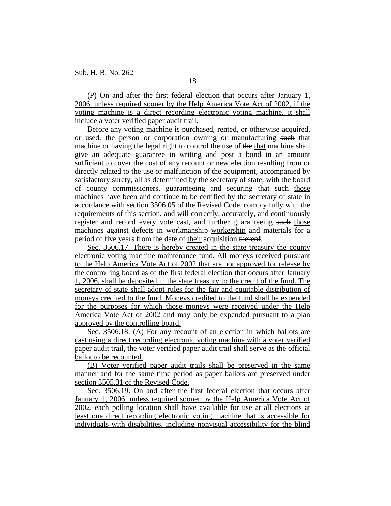(P) On and after the first federal election that occurs after January 1, 2006, unless required sooner by the Help America Vote Act of 2002, if the voting machine is a direct recording electronic voting machine, it shall include a voter verified paper audit trail.

Before any voting machine is purchased, rented, or otherwise acquired, or used, the person or corporation owning or manufacturing such that machine or having the legal right to control the use of the that machine shall give an adequate guarantee in writing and post a bond in an amount sufficient to cover the cost of any recount or new election resulting from or directly related to the use or malfunction of the equipment, accompanied by satisfactory surety, all as determined by the secretary of state, with the board of county commissioners, guaranteeing and securing that such those machines have been and continue to be certified by the secretary of state in accordance with section 3506.05 of the Revised Code, comply fully with the requirements of this section, and will correctly, accurately, and continuously register and record every vote cast, and further guaranteeing such those machines against defects in workmanship workership and materials for a period of five years from the date of their acquisition thereof.

Sec. 3506.17. There is hereby created in the state treasury the county electronic voting machine maintenance fund. All moneys received pursuant to the Help America Vote Act of 2002 that are not approved for release by the controlling board as of the first federal election that occurs after January 1, 2006, shall be deposited in the state treasury to the credit of the fund. The secretary of state shall adopt rules for the fair and equitable distribution of moneys credited to the fund. Moneys credited to the fund shall be expended for the purposes for which those moneys were received under the Help America Vote Act of 2002 and may only be expended pursuant to a plan approved by the controlling board.

Sec. 3506.18. (A) For any recount of an election in which ballots are cast using a direct recording electronic voting machine with a voter verified paper audit trail, the voter verified paper audit trail shall serve as the official ballot to be recounted.

(B) Voter verified paper audit trails shall be preserved in the same manner and for the same time period as paper ballots are preserved under section 3505.31 of the Revised Code.

Sec. 3506.19. On and after the first federal election that occurs after January 1, 2006, unless required sooner by the Help America Vote Act of 2002, each polling location shall have available for use at all elections at least one direct recording electronic voting machine that is accessible for individuals with disabilities, including nonvisual accessibility for the blind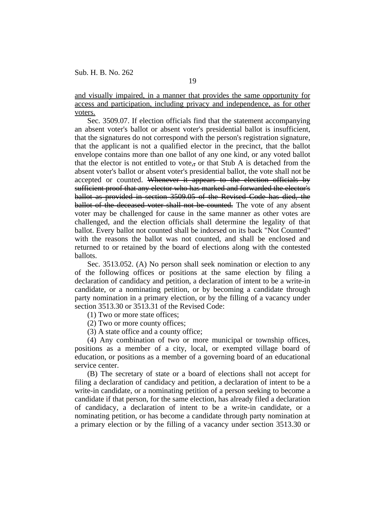and visually impaired, in a manner that provides the same opportunity for access and participation, including privacy and independence, as for other voters.

Sec. 3509.07. If election officials find that the statement accompanying an absent voter's ballot or absent voter's presidential ballot is insufficient, that the signatures do not correspond with the person's registration signature, that the applicant is not a qualified elector in the precinct, that the ballot envelope contains more than one ballot of any one kind, or any voted ballot that the elector is not entitled to vote,, or that Stub A is detached from the absent voter's ballot or absent voter's presidential ballot, the vote shall not be accepted or counted. Whenever it appears to the election officials by sufficient proof that any elector who has marked and forwarded the elector's ballot as provided in section 3509.05 of the Revised Code has died, the ballot of the deceased voter shall not be counted. The vote of any absent voter may be challenged for cause in the same manner as other votes are challenged, and the election officials shall determine the legality of that ballot. Every ballot not counted shall be indorsed on its back "Not Counted" with the reasons the ballot was not counted, and shall be enclosed and returned to or retained by the board of elections along with the contested ballots.

Sec. 3513.052. (A) No person shall seek nomination or election to any of the following offices or positions at the same election by filing a declaration of candidacy and petition, a declaration of intent to be a write-in candidate, or a nominating petition, or by becoming a candidate through party nomination in a primary election, or by the filling of a vacancy under section 3513.30 or 3513.31 of the Revised Code:

- (1) Two or more state offices;
- (2) Two or more county offices;
- (3) A state office and a county office;

(4) Any combination of two or more municipal or township offices, positions as a member of a city, local, or exempted village board of education, or positions as a member of a governing board of an educational service center.

(B) The secretary of state or a board of elections shall not accept for filing a declaration of candidacy and petition, a declaration of intent to be a write-in candidate, or a nominating petition of a person seeking to become a candidate if that person, for the same election, has already filed a declaration of candidacy, a declaration of intent to be a write-in candidate, or a nominating petition, or has become a candidate through party nomination at a primary election or by the filling of a vacancy under section 3513.30 or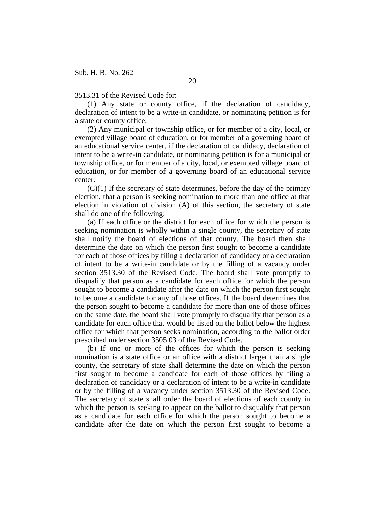3513.31 of the Revised Code for:

(1) Any state or county office, if the declaration of candidacy, declaration of intent to be a write-in candidate, or nominating petition is for a state or county office;

(2) Any municipal or township office, or for member of a city, local, or exempted village board of education, or for member of a governing board of an educational service center, if the declaration of candidacy, declaration of intent to be a write-in candidate, or nominating petition is for a municipal or township office, or for member of a city, local, or exempted village board of education, or for member of a governing board of an educational service center.

 $(C)(1)$  If the secretary of state determines, before the day of the primary election, that a person is seeking nomination to more than one office at that election in violation of division (A) of this section, the secretary of state shall do one of the following:

(a) If each office or the district for each office for which the person is seeking nomination is wholly within a single county, the secretary of state shall notify the board of elections of that county. The board then shall determine the date on which the person first sought to become a candidate for each of those offices by filing a declaration of candidacy or a declaration of intent to be a write-in candidate or by the filling of a vacancy under section 3513.30 of the Revised Code. The board shall vote promptly to disqualify that person as a candidate for each office for which the person sought to become a candidate after the date on which the person first sought to become a candidate for any of those offices. If the board determines that the person sought to become a candidate for more than one of those offices on the same date, the board shall vote promptly to disqualify that person as a candidate for each office that would be listed on the ballot below the highest office for which that person seeks nomination, according to the ballot order prescribed under section 3505.03 of the Revised Code.

(b) If one or more of the offices for which the person is seeking nomination is a state office or an office with a district larger than a single county, the secretary of state shall determine the date on which the person first sought to become a candidate for each of those offices by filing a declaration of candidacy or a declaration of intent to be a write-in candidate or by the filling of a vacancy under section 3513.30 of the Revised Code. The secretary of state shall order the board of elections of each county in which the person is seeking to appear on the ballot to disqualify that person as a candidate for each office for which the person sought to become a candidate after the date on which the person first sought to become a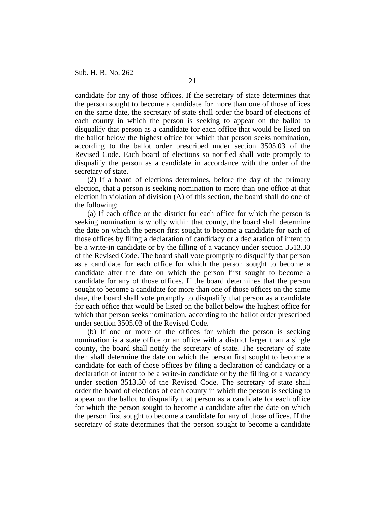candidate for any of those offices. If the secretary of state determines that the person sought to become a candidate for more than one of those offices on the same date, the secretary of state shall order the board of elections of each county in which the person is seeking to appear on the ballot to disqualify that person as a candidate for each office that would be listed on the ballot below the highest office for which that person seeks nomination, according to the ballot order prescribed under section 3505.03 of the Revised Code. Each board of elections so notified shall vote promptly to disqualify the person as a candidate in accordance with the order of the secretary of state.

(2) If a board of elections determines, before the day of the primary election, that a person is seeking nomination to more than one office at that election in violation of division (A) of this section, the board shall do one of the following:

(a) If each office or the district for each office for which the person is seeking nomination is wholly within that county, the board shall determine the date on which the person first sought to become a candidate for each of those offices by filing a declaration of candidacy or a declaration of intent to be a write-in candidate or by the filling of a vacancy under section 3513.30 of the Revised Code. The board shall vote promptly to disqualify that person as a candidate for each office for which the person sought to become a candidate after the date on which the person first sought to become a candidate for any of those offices. If the board determines that the person sought to become a candidate for more than one of those offices on the same date, the board shall vote promptly to disqualify that person as a candidate for each office that would be listed on the ballot below the highest office for which that person seeks nomination, according to the ballot order prescribed under section 3505.03 of the Revised Code.

(b) If one or more of the offices for which the person is seeking nomination is a state office or an office with a district larger than a single county, the board shall notify the secretary of state. The secretary of state then shall determine the date on which the person first sought to become a candidate for each of those offices by filing a declaration of candidacy or a declaration of intent to be a write-in candidate or by the filling of a vacancy under section 3513.30 of the Revised Code. The secretary of state shall order the board of elections of each county in which the person is seeking to appear on the ballot to disqualify that person as a candidate for each office for which the person sought to become a candidate after the date on which the person first sought to become a candidate for any of those offices. If the secretary of state determines that the person sought to become a candidate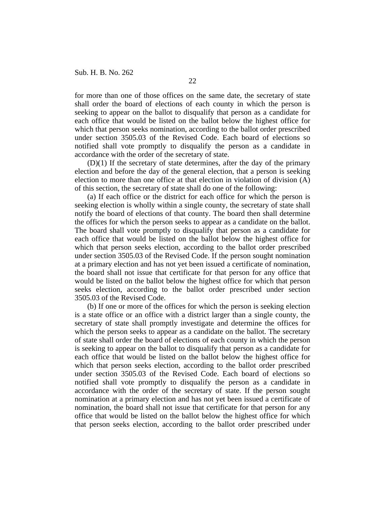for more than one of those offices on the same date, the secretary of state shall order the board of elections of each county in which the person is seeking to appear on the ballot to disqualify that person as a candidate for each office that would be listed on the ballot below the highest office for which that person seeks nomination, according to the ballot order prescribed under section 3505.03 of the Revised Code. Each board of elections so notified shall vote promptly to disqualify the person as a candidate in accordance with the order of the secretary of state.

(D)(1) If the secretary of state determines, after the day of the primary election and before the day of the general election, that a person is seeking election to more than one office at that election in violation of division (A) of this section, the secretary of state shall do one of the following:

(a) If each office or the district for each office for which the person is seeking election is wholly within a single county, the secretary of state shall notify the board of elections of that county. The board then shall determine the offices for which the person seeks to appear as a candidate on the ballot. The board shall vote promptly to disqualify that person as a candidate for each office that would be listed on the ballot below the highest office for which that person seeks election, according to the ballot order prescribed under section 3505.03 of the Revised Code. If the person sought nomination at a primary election and has not yet been issued a certificate of nomination, the board shall not issue that certificate for that person for any office that would be listed on the ballot below the highest office for which that person seeks election, according to the ballot order prescribed under section 3505.03 of the Revised Code.

(b) If one or more of the offices for which the person is seeking election is a state office or an office with a district larger than a single county, the secretary of state shall promptly investigate and determine the offices for which the person seeks to appear as a candidate on the ballot. The secretary of state shall order the board of elections of each county in which the person is seeking to appear on the ballot to disqualify that person as a candidate for each office that would be listed on the ballot below the highest office for which that person seeks election, according to the ballot order prescribed under section 3505.03 of the Revised Code. Each board of elections so notified shall vote promptly to disqualify the person as a candidate in accordance with the order of the secretary of state. If the person sought nomination at a primary election and has not yet been issued a certificate of nomination, the board shall not issue that certificate for that person for any office that would be listed on the ballot below the highest office for which that person seeks election, according to the ballot order prescribed under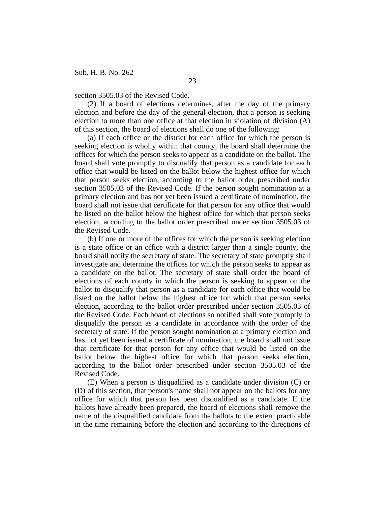section 3505.03 of the Revised Code.

(2) If a board of elections determines, after the day of the primary election and before the day of the general election, that a person is seeking election to more than one office at that election in violation of division (A) of this section, the board of elections shall do one of the following:

(a) If each office or the district for each office for which the person is seeking election is wholly within that county, the board shall determine the offices for which the person seeks to appear as a candidate on the ballot. The board shall vote promptly to disqualify that person as a candidate for each office that would be listed on the ballot below the highest office for which that person seeks election, according to the ballot order prescribed under section 3505.03 of the Revised Code. If the person sought nomination at a primary election and has not yet been issued a certificate of nomination, the board shall not issue that certificate for that person for any office that would be listed on the ballot below the highest office for which that person seeks election, according to the ballot order prescribed under section 3505.03 of the Revised Code.

(b) If one or more of the offices for which the person is seeking election is a state office or an office with a district larger than a single county, the board shall notify the secretary of state. The secretary of state promptly shall investigate and determine the offices for which the person seeks to appear as a candidate on the ballot. The secretary of state shall order the board of elections of each county in which the person is seeking to appear on the ballot to disqualify that person as a candidate for each office that would be listed on the ballot below the highest office for which that person seeks election, according to the ballot order prescribed under section 3505.03 of the Revised Code. Each board of elections so notified shall vote promptly to disqualify the person as a candidate in accordance with the order of the secretary of state. If the person sought nomination at a primary election and has not yet been issued a certificate of nomination, the board shall not issue that certificate for that person for any office that would be listed on the ballot below the highest office for which that person seeks election, according to the ballot order prescribed under section 3505.03 of the Revised Code.

(E) When a person is disqualified as a candidate under division (C) or (D) of this section, that person's name shall not appear on the ballots for any office for which that person has been disqualified as a candidate. If the ballots have already been prepared, the board of elections shall remove the name of the disqualified candidate from the ballots to the extent practicable in the time remaining before the election and according to the directions of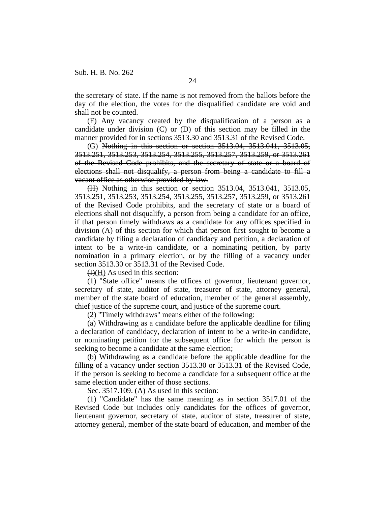the secretary of state. If the name is not removed from the ballots before the day of the election, the votes for the disqualified candidate are void and shall not be counted.

(F) Any vacancy created by the disqualification of a person as a candidate under division (C) or (D) of this section may be filled in the manner provided for in sections 3513.30 and 3513.31 of the Revised Code.

(G) Nothing in this section or section 3513.04, 3513.041, 3513.05, 3513.251, 3513.253, 3513.254, 3513.255, 3513.257, 3513.259, or 3513.261 of the Revised Code prohibits, and the secretary of state or a board of elections shall not disqualify, a person from being a candidate to fill a vacant office as otherwise provided by law.

(H) Nothing in this section or section 3513.04, 3513.041, 3513.05, 3513.251, 3513.253, 3513.254, 3513.255, 3513.257, 3513.259, or 3513.261 of the Revised Code prohibits, and the secretary of state or a board of elections shall not disqualify, a person from being a candidate for an office, if that person timely withdraws as a candidate for any offices specified in division (A) of this section for which that person first sought to become a candidate by filing a declaration of candidacy and petition, a declaration of intent to be a write-in candidate, or a nominating petition, by party nomination in a primary election, or by the filling of a vacancy under section 3513.30 or 3513.31 of the Revised Code.

 $H(H)$  As used in this section:

(1) "State office" means the offices of governor, lieutenant governor, secretary of state, auditor of state, treasurer of state, attorney general, member of the state board of education, member of the general assembly, chief justice of the supreme court, and justice of the supreme court.

(2) "Timely withdraws" means either of the following:

(a) Withdrawing as a candidate before the applicable deadline for filing a declaration of candidacy, declaration of intent to be a write-in candidate, or nominating petition for the subsequent office for which the person is seeking to become a candidate at the same election;

(b) Withdrawing as a candidate before the applicable deadline for the filling of a vacancy under section 3513.30 or 3513.31 of the Revised Code, if the person is seeking to become a candidate for a subsequent office at the same election under either of those sections.

Sec. 3517.109. (A) As used in this section:

(1) "Candidate" has the same meaning as in section 3517.01 of the Revised Code but includes only candidates for the offices of governor, lieutenant governor, secretary of state, auditor of state, treasurer of state, attorney general, member of the state board of education, and member of the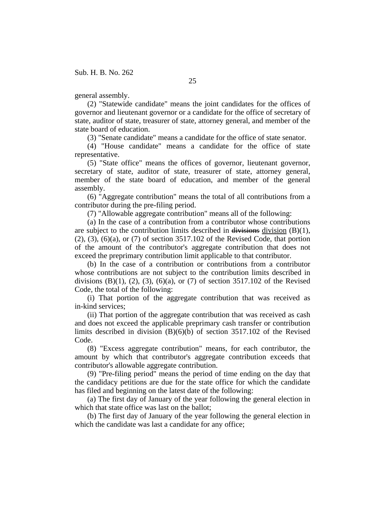general assembly.

(2) "Statewide candidate" means the joint candidates for the offices of governor and lieutenant governor or a candidate for the office of secretary of state, auditor of state, treasurer of state, attorney general, and member of the state board of education.

(3) "Senate candidate" means a candidate for the office of state senator.

(4) "House candidate" means a candidate for the office of state representative.

(5) "State office" means the offices of governor, lieutenant governor, secretary of state, auditor of state, treasurer of state, attorney general, member of the state board of education, and member of the general assembly.

(6) "Aggregate contribution" means the total of all contributions from a contributor during the pre-filing period.

(7) "Allowable aggregate contribution" means all of the following:

(a) In the case of a contribution from a contributor whose contributions are subject to the contribution limits described in divisions division  $(B)(1)$ , (2), (3), (6)(a), or (7) of section 3517.102 of the Revised Code, that portion of the amount of the contributor's aggregate contribution that does not exceed the preprimary contribution limit applicable to that contributor.

(b) In the case of a contribution or contributions from a contributor whose contributions are not subject to the contribution limits described in divisions  $(B)(1)$ ,  $(2)$ ,  $(3)$ ,  $(6)(a)$ , or  $(7)$  of section 3517.102 of the Revised Code, the total of the following:

(i) That portion of the aggregate contribution that was received as in-kind services;

(ii) That portion of the aggregate contribution that was received as cash and does not exceed the applicable preprimary cash transfer or contribution limits described in division (B)(6)(b) of section 3517.102 of the Revised Code.

(8) "Excess aggregate contribution" means, for each contributor, the amount by which that contributor's aggregate contribution exceeds that contributor's allowable aggregate contribution.

(9) "Pre-filing period" means the period of time ending on the day that the candidacy petitions are due for the state office for which the candidate has filed and beginning on the latest date of the following:

(a) The first day of January of the year following the general election in which that state office was last on the ballot;

(b) The first day of January of the year following the general election in which the candidate was last a candidate for any office;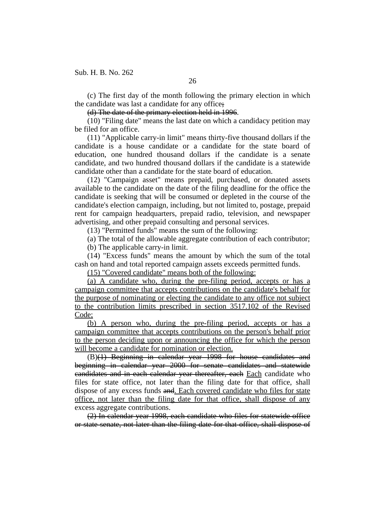(c) The first day of the month following the primary election in which the candidate was last a candidate for any office;

(d) The date of the primary election held in 1996.

(10) "Filing date" means the last date on which a candidacy petition may be filed for an office.

(11) "Applicable carry-in limit" means thirty-five thousand dollars if the candidate is a house candidate or a candidate for the state board of education, one hundred thousand dollars if the candidate is a senate candidate, and two hundred thousand dollars if the candidate is a statewide candidate other than a candidate for the state board of education.

(12) "Campaign asset" means prepaid, purchased, or donated assets available to the candidate on the date of the filing deadline for the office the candidate is seeking that will be consumed or depleted in the course of the candidate's election campaign, including, but not limited to, postage, prepaid rent for campaign headquarters, prepaid radio, television, and newspaper advertising, and other prepaid consulting and personal services.

(13) "Permitted funds" means the sum of the following:

(a) The total of the allowable aggregate contribution of each contributor; (b) The applicable carry-in limit.

(14) "Excess funds" means the amount by which the sum of the total cash on hand and total reported campaign assets exceeds permitted funds.

(15) "Covered candidate" means both of the following:

(a) A candidate who, during the pre-filing period, accepts or has a campaign committee that accepts contributions on the candidate's behalf for the purpose of nominating or electing the candidate to any office not subject to the contribution limits prescribed in section 3517.102 of the Revised Code;

(b) A person who, during the pre-filing period, accepts or has a campaign committee that accepts contributions on the person's behalf prior to the person deciding upon or announcing the office for which the person will become a candidate for nomination or election.

(B)(1) Beginning in calendar year 1998 for house candidates and beginning in calendar year 2000 for senate candidates and statewide candidates and in each calendar year thereafter, each Each candidate who files for state office, not later than the filing date for that office, shall dispose of any excess funds and. Each covered candidate who files for state office, not later than the filing date for that office, shall dispose of any excess aggregate contributions.

(2) In calendar year 1998, each candidate who files for statewide office or state senate, not later than the filing date for that office, shall dispose of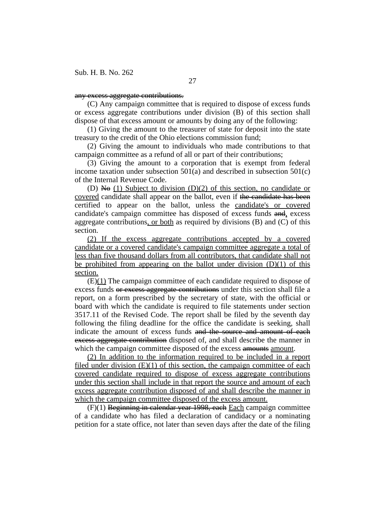## any excess aggregate contributions.

(C) Any campaign committee that is required to dispose of excess funds or excess aggregate contributions under division (B) of this section shall dispose of that excess amount or amounts by doing any of the following:

(1) Giving the amount to the treasurer of state for deposit into the state treasury to the credit of the Ohio elections commission fund;

(2) Giving the amount to individuals who made contributions to that campaign committee as a refund of all or part of their contributions;

(3) Giving the amount to a corporation that is exempt from federal income taxation under subsection  $501(a)$  and described in subsection  $501(c)$ of the Internal Revenue Code.

(D) No  $(1)$  Subject to division  $(D)(2)$  of this section, no candidate or covered candidate shall appear on the ballot, even if the candidate has been certified to appear on the ballot, unless the candidate's or covered candidate's campaign committee has disposed of excess funds and, excess aggregate contributions, or both as required by divisions (B) and (C) of this section.

(2) If the excess aggregate contributions accepted by a covered candidate or a covered candidate's campaign committee aggregate a total of less than five thousand dollars from all contributors, that candidate shall not be prohibited from appearing on the ballot under division  $(D)(1)$  of this section.

(E)(1) The campaign committee of each candidate required to dispose of excess funds or excess aggregate contributions under this section shall file a report, on a form prescribed by the secretary of state, with the official or board with which the candidate is required to file statements under section 3517.11 of the Revised Code. The report shall be filed by the seventh day following the filing deadline for the office the candidate is seeking, shall indicate the amount of excess funds and the source and amount of each excess aggregate contribution disposed of, and shall describe the manner in which the campaign committee disposed of the excess amounts amount.

(2) In addition to the information required to be included in a report filed under division  $(E)(1)$  of this section, the campaign committee of each covered candidate required to dispose of excess aggregate contributions under this section shall include in that report the source and amount of each excess aggregate contribution disposed of and shall describe the manner in which the campaign committee disposed of the excess amount.

(F)(1) Beginning in calendar year 1998, each Each campaign committee of a candidate who has filed a declaration of candidacy or a nominating petition for a state office, not later than seven days after the date of the filing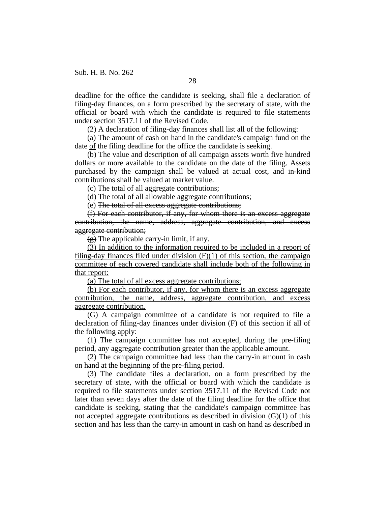deadline for the office the candidate is seeking, shall file a declaration of filing-day finances, on a form prescribed by the secretary of state, with the official or board with which the candidate is required to file statements under section 3517.11 of the Revised Code.

(2) A declaration of filing-day finances shall list all of the following:

(a) The amount of cash on hand in the candidate's campaign fund on the date of the filing deadline for the office the candidate is seeking.

(b) The value and description of all campaign assets worth five hundred dollars or more available to the candidate on the date of the filing. Assets purchased by the campaign shall be valued at actual cost, and in-kind contributions shall be valued at market value.

(c) The total of all aggregate contributions;

(d) The total of all allowable aggregate contributions;

(e) The total of all excess aggregate contributions;

(f) For each contributor, if any, for whom there is an excess aggregate contribution, the name, address, aggregate contribution, and excess aggregate contribution;

 $\left(\frac{1}{2}\right)$  The applicable carry-in limit, if any.

(3) In addition to the information required to be included in a report of filing-day finances filed under division  $(F)(1)$  of this section, the campaign committee of each covered candidate shall include both of the following in that report:

(a) The total of all excess aggregate contributions;

(b) For each contributor, if any, for whom there is an excess aggregate contribution, the name, address, aggregate contribution, and excess aggregate contribution.

(G) A campaign committee of a candidate is not required to file a declaration of filing-day finances under division (F) of this section if all of the following apply:

(1) The campaign committee has not accepted, during the pre-filing period, any aggregate contribution greater than the applicable amount.

(2) The campaign committee had less than the carry-in amount in cash on hand at the beginning of the pre-filing period.

(3) The candidate files a declaration, on a form prescribed by the secretary of state, with the official or board with which the candidate is required to file statements under section 3517.11 of the Revised Code not later than seven days after the date of the filing deadline for the office that candidate is seeking, stating that the candidate's campaign committee has not accepted aggregate contributions as described in division  $(G)(1)$  of this section and has less than the carry-in amount in cash on hand as described in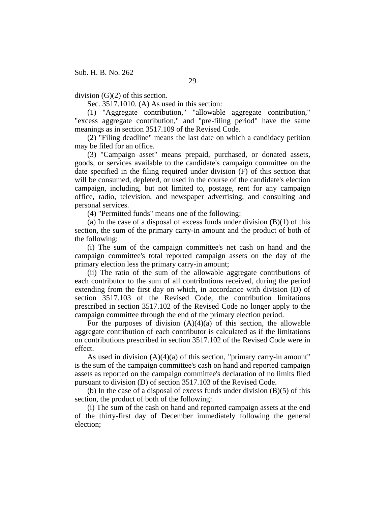division (G)(2) of this section.

Sec. 3517.1010. (A) As used in this section:

(1) "Aggregate contribution," "allowable aggregate contribution," "excess aggregate contribution," and "pre-filing period" have the same meanings as in section 3517.109 of the Revised Code.

(2) "Filing deadline" means the last date on which a candidacy petition may be filed for an office.

(3) "Campaign asset" means prepaid, purchased, or donated assets, goods, or services available to the candidate's campaign committee on the date specified in the filing required under division (F) of this section that will be consumed, depleted, or used in the course of the candidate's election campaign, including, but not limited to, postage, rent for any campaign office, radio, television, and newspaper advertising, and consulting and personal services.

(4) "Permitted funds" means one of the following:

(a) In the case of a disposal of excess funds under division  $(B)(1)$  of this section, the sum of the primary carry-in amount and the product of both of the following:

(i) The sum of the campaign committee's net cash on hand and the campaign committee's total reported campaign assets on the day of the primary election less the primary carry-in amount;

(ii) The ratio of the sum of the allowable aggregate contributions of each contributor to the sum of all contributions received, during the period extending from the first day on which, in accordance with division (D) of section 3517.103 of the Revised Code, the contribution limitations prescribed in section 3517.102 of the Revised Code no longer apply to the campaign committee through the end of the primary election period.

For the purposes of division  $(A)(4)(a)$  of this section, the allowable aggregate contribution of each contributor is calculated as if the limitations on contributions prescribed in section 3517.102 of the Revised Code were in effect.

As used in division (A)(4)(a) of this section, "primary carry-in amount" is the sum of the campaign committee's cash on hand and reported campaign assets as reported on the campaign committee's declaration of no limits filed pursuant to division (D) of section 3517.103 of the Revised Code.

(b) In the case of a disposal of excess funds under division  $(B)(5)$  of this section, the product of both of the following:

(i) The sum of the cash on hand and reported campaign assets at the end of the thirty-first day of December immediately following the general election;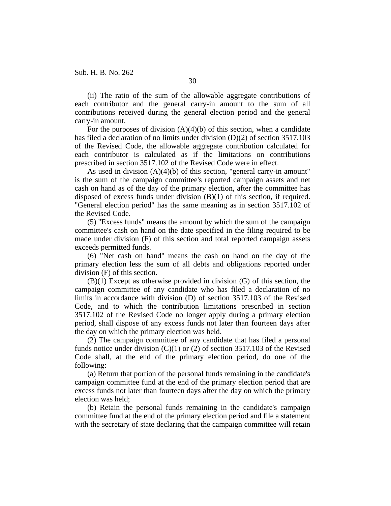(ii) The ratio of the sum of the allowable aggregate contributions of each contributor and the general carry-in amount to the sum of all contributions received during the general election period and the general carry-in amount.

For the purposes of division  $(A)(4)(b)$  of this section, when a candidate has filed a declaration of no limits under division (D)(2) of section 3517.103 of the Revised Code, the allowable aggregate contribution calculated for each contributor is calculated as if the limitations on contributions prescribed in section 3517.102 of the Revised Code were in effect.

As used in division (A)(4)(b) of this section, "general carry-in amount" is the sum of the campaign committee's reported campaign assets and net cash on hand as of the day of the primary election, after the committee has disposed of excess funds under division (B)(1) of this section, if required. "General election period" has the same meaning as in section 3517.102 of the Revised Code.

(5) "Excess funds" means the amount by which the sum of the campaign committee's cash on hand on the date specified in the filing required to be made under division (F) of this section and total reported campaign assets exceeds permitted funds.

(6) "Net cash on hand" means the cash on hand on the day of the primary election less the sum of all debts and obligations reported under division (F) of this section.

(B)(1) Except as otherwise provided in division (G) of this section, the campaign committee of any candidate who has filed a declaration of no limits in accordance with division (D) of section 3517.103 of the Revised Code, and to which the contribution limitations prescribed in section 3517.102 of the Revised Code no longer apply during a primary election period, shall dispose of any excess funds not later than fourteen days after the day on which the primary election was held.

(2) The campaign committee of any candidate that has filed a personal funds notice under division  $(C)(1)$  or  $(2)$  of section 3517.103 of the Revised Code shall, at the end of the primary election period, do one of the following:

(a) Return that portion of the personal funds remaining in the candidate's campaign committee fund at the end of the primary election period that are excess funds not later than fourteen days after the day on which the primary election was held;

(b) Retain the personal funds remaining in the candidate's campaign committee fund at the end of the primary election period and file a statement with the secretary of state declaring that the campaign committee will retain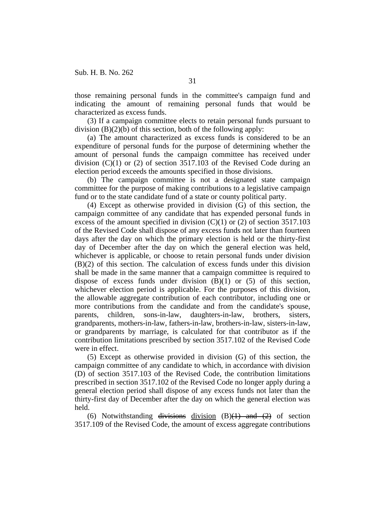those remaining personal funds in the committee's campaign fund and indicating the amount of remaining personal funds that would be characterized as excess funds.

(3) If a campaign committee elects to retain personal funds pursuant to division  $(B)(2)(b)$  of this section, both of the following apply:

(a) The amount characterized as excess funds is considered to be an expenditure of personal funds for the purpose of determining whether the amount of personal funds the campaign committee has received under division  $(C)(1)$  or  $(2)$  of section 3517.103 of the Revised Code during an election period exceeds the amounts specified in those divisions.

(b) The campaign committee is not a designated state campaign committee for the purpose of making contributions to a legislative campaign fund or to the state candidate fund of a state or county political party.

(4) Except as otherwise provided in division (G) of this section, the campaign committee of any candidate that has expended personal funds in excess of the amount specified in division (C)(1) or (2) of section 3517.103 of the Revised Code shall dispose of any excess funds not later than fourteen days after the day on which the primary election is held or the thirty-first day of December after the day on which the general election was held, whichever is applicable, or choose to retain personal funds under division (B)(2) of this section. The calculation of excess funds under this division shall be made in the same manner that a campaign committee is required to dispose of excess funds under division  $(B)(1)$  or  $(5)$  of this section, whichever election period is applicable. For the purposes of this division, the allowable aggregate contribution of each contributor, including one or more contributions from the candidate and from the candidate's spouse, parents, children, sons-in-law, daughters-in-law, brothers, sisters, grandparents, mothers-in-law, fathers-in-law, brothers-in-law, sisters-in-law, or grandparents by marriage, is calculated for that contributor as if the contribution limitations prescribed by section 3517.102 of the Revised Code were in effect.

(5) Except as otherwise provided in division (G) of this section, the campaign committee of any candidate to which, in accordance with division (D) of section 3517.103 of the Revised Code, the contribution limitations prescribed in section 3517.102 of the Revised Code no longer apply during a general election period shall dispose of any excess funds not later than the thirty-first day of December after the day on which the general election was held.

(6) Notwithstanding divisions division  $(B)(1)$  and  $(2)$  of section 3517.109 of the Revised Code, the amount of excess aggregate contributions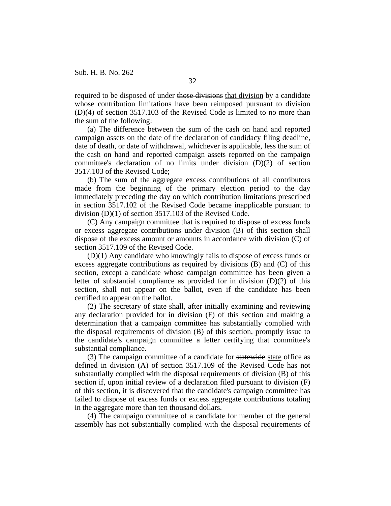required to be disposed of under those divisions that division by a candidate whose contribution limitations have been reimposed pursuant to division (D)(4) of section 3517.103 of the Revised Code is limited to no more than the sum of the following:

(a) The difference between the sum of the cash on hand and reported campaign assets on the date of the declaration of candidacy filing deadline, date of death, or date of withdrawal, whichever is applicable, less the sum of the cash on hand and reported campaign assets reported on the campaign committee's declaration of no limits under division (D)(2) of section 3517.103 of the Revised Code;

(b) The sum of the aggregate excess contributions of all contributors made from the beginning of the primary election period to the day immediately preceding the day on which contribution limitations prescribed in section 3517.102 of the Revised Code became inapplicable pursuant to division (D)(1) of section 3517.103 of the Revised Code.

(C) Any campaign committee that is required to dispose of excess funds or excess aggregate contributions under division (B) of this section shall dispose of the excess amount or amounts in accordance with division (C) of section 3517.109 of the Revised Code.

(D)(1) Any candidate who knowingly fails to dispose of excess funds or excess aggregate contributions as required by divisions (B) and (C) of this section, except a candidate whose campaign committee has been given a letter of substantial compliance as provided for in division (D)(2) of this section, shall not appear on the ballot, even if the candidate has been certified to appear on the ballot.

(2) The secretary of state shall, after initially examining and reviewing any declaration provided for in division (F) of this section and making a determination that a campaign committee has substantially complied with the disposal requirements of division (B) of this section, promptly issue to the candidate's campaign committee a letter certifying that committee's substantial compliance.

(3) The campaign committee of a candidate for statewide state office as defined in division (A) of section 3517.109 of the Revised Code has not substantially complied with the disposal requirements of division (B) of this section if, upon initial review of a declaration filed pursuant to division (F) of this section, it is discovered that the candidate's campaign committee has failed to dispose of excess funds or excess aggregate contributions totaling in the aggregate more than ten thousand dollars.

(4) The campaign committee of a candidate for member of the general assembly has not substantially complied with the disposal requirements of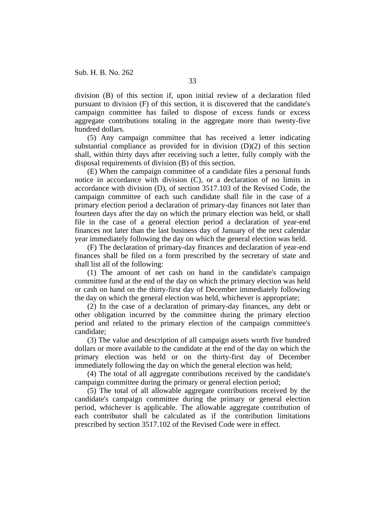division (B) of this section if, upon initial review of a declaration filed pursuant to division (F) of this section, it is discovered that the candidate's campaign committee has failed to dispose of excess funds or excess aggregate contributions totaling in the aggregate more than twenty-five hundred dollars.

(5) Any campaign committee that has received a letter indicating substantial compliance as provided for in division  $(D)(2)$  of this section shall, within thirty days after receiving such a letter, fully comply with the disposal requirements of division (B) of this section.

(E) When the campaign committee of a candidate files a personal funds notice in accordance with division (C), or a declaration of no limits in accordance with division (D), of section 3517.103 of the Revised Code, the campaign committee of each such candidate shall file in the case of a primary election period a declaration of primary-day finances not later than fourteen days after the day on which the primary election was held, or shall file in the case of a general election period a declaration of year-end finances not later than the last business day of January of the next calendar year immediately following the day on which the general election was held.

(F) The declaration of primary-day finances and declaration of year-end finances shall be filed on a form prescribed by the secretary of state and shall list all of the following:

(1) The amount of net cash on hand in the candidate's campaign committee fund at the end of the day on which the primary election was held or cash on hand on the thirty-first day of December immediately following the day on which the general election was held, whichever is appropriate;

(2) In the case of a declaration of primary-day finances, any debt or other obligation incurred by the committee during the primary election period and related to the primary election of the campaign committee's candidate;

(3) The value and description of all campaign assets worth five hundred dollars or more available to the candidate at the end of the day on which the primary election was held or on the thirty-first day of December immediately following the day on which the general election was held;

(4) The total of all aggregate contributions received by the candidate's campaign committee during the primary or general election period;

(5) The total of all allowable aggregate contributions received by the candidate's campaign committee during the primary or general election period, whichever is applicable. The allowable aggregate contribution of each contributor shall be calculated as if the contribution limitations prescribed by section 3517.102 of the Revised Code were in effect.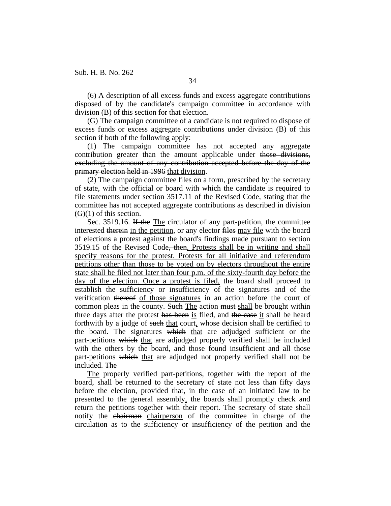(6) A description of all excess funds and excess aggregate contributions disposed of by the candidate's campaign committee in accordance with division (B) of this section for that election.

(G) The campaign committee of a candidate is not required to dispose of excess funds or excess aggregate contributions under division (B) of this section if both of the following apply:

(1) The campaign committee has not accepted any aggregate contribution greater than the amount applicable under those divisions, excluding the amount of any contribution accepted before the day of the primary election held in 1996 that division.

(2) The campaign committee files on a form, prescribed by the secretary of state, with the official or board with which the candidate is required to file statements under section 3517.11 of the Revised Code, stating that the committee has not accepted aggregate contributions as described in division  $(G)(1)$  of this section.

Sec. 3519.16. If the The circulator of any part-petition, the committee interested therein in the petition, or any elector files may file with the board of elections a protest against the board's findings made pursuant to section 3519.15 of the Revised Code<del>, then</del>. Protests shall be in writing and shall specify reasons for the protest. Protests for all initiative and referendum petitions other than those to be voted on by electors throughout the entire state shall be filed not later than four p.m. of the sixty-fourth day before the day of the election. Once a protest is filed, the board shall proceed to establish the sufficiency or insufficiency of the signatures and of the verification thereof of those signatures in an action before the court of common pleas in the county. Such The action must shall be brought within three days after the protest has been is filed, and the case it shall be heard forthwith by a judge of such that court, whose decision shall be certified to the board. The signatures which that are adjudged sufficient or the part-petitions which that are adjudged properly verified shall be included with the others by the board, and those found insufficient and all those part-petitions which that are adjudged not properly verified shall not be included. The

The properly verified part-petitions, together with the report of the board, shall be returned to the secretary of state not less than fifty days before the election, provided that, in the case of an initiated law to be presented to the general assembly, the boards shall promptly check and return the petitions together with their report. The secretary of state shall notify the chairman chairperson of the committee in charge of the circulation as to the sufficiency or insufficiency of the petition and the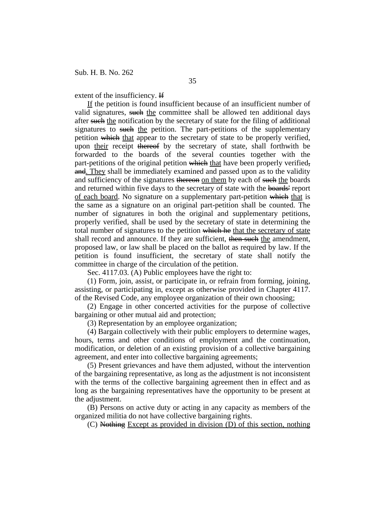extent of the insufficiency. If

If the petition is found insufficient because of an insufficient number of valid signatures, such the committee shall be allowed ten additional days after such the notification by the secretary of state for the filing of additional signatures to such the petition. The part-petitions of the supplementary petition which that appear to the secretary of state to be properly verified, upon their receipt thereof by the secretary of state, shall forthwith be forwarded to the boards of the several counties together with the part-petitions of the original petition which that have been properly verified. and. They shall be immediately examined and passed upon as to the validity and sufficiency of the signatures thereon on them by each of such the boards and returned within five days to the secretary of state with the boards' report of each board. No signature on a supplementary part-petition which that is the same as a signature on an original part-petition shall be counted. The number of signatures in both the original and supplementary petitions, properly verified, shall be used by the secretary of state in determining the total number of signatures to the petition which he that the secretary of state shall record and announce. If they are sufficient, then such the amendment, proposed law, or law shall be placed on the ballot as required by law. If the petition is found insufficient, the secretary of state shall notify the committee in charge of the circulation of the petition.

Sec. 4117.03. (A) Public employees have the right to:

(1) Form, join, assist, or participate in, or refrain from forming, joining, assisting, or participating in, except as otherwise provided in Chapter 4117. of the Revised Code, any employee organization of their own choosing;

(2) Engage in other concerted activities for the purpose of collective bargaining or other mutual aid and protection;

(3) Representation by an employee organization;

(4) Bargain collectively with their public employers to determine wages, hours, terms and other conditions of employment and the continuation, modification, or deletion of an existing provision of a collective bargaining agreement, and enter into collective bargaining agreements;

(5) Present grievances and have them adjusted, without the intervention of the bargaining representative, as long as the adjustment is not inconsistent with the terms of the collective bargaining agreement then in effect and as long as the bargaining representatives have the opportunity to be present at the adjustment.

(B) Persons on active duty or acting in any capacity as members of the organized militia do not have collective bargaining rights.

(C) Nothing Except as provided in division (D) of this section, nothing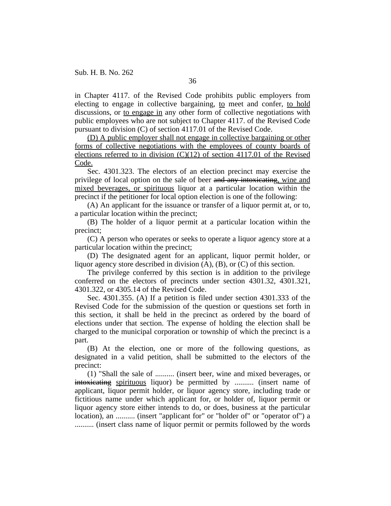in Chapter 4117. of the Revised Code prohibits public employers from electing to engage in collective bargaining, to meet and confer, to hold discussions, or to engage in any other form of collective negotiations with public employees who are not subject to Chapter 4117. of the Revised Code pursuant to division (C) of section 4117.01 of the Revised Code.

(D) A public employer shall not engage in collective bargaining or other forms of collective negotiations with the employees of county boards of elections referred to in division  $(C)(12)$  of section 4117.01 of the Revised Code.

Sec. 4301.323. The electors of an election precinct may exercise the privilege of local option on the sale of beer and any intoxicating, wine and mixed beverages, or spirituous liquor at a particular location within the precinct if the petitioner for local option election is one of the following:

(A) An applicant for the issuance or transfer of a liquor permit at, or to, a particular location within the precinct;

(B) The holder of a liquor permit at a particular location within the precinct;

(C) A person who operates or seeks to operate a liquor agency store at a particular location within the precinct;

(D) The designated agent for an applicant, liquor permit holder, or liquor agency store described in division (A), (B), or (C) of this section.

The privilege conferred by this section is in addition to the privilege conferred on the electors of precincts under section 4301.32, 4301.321, 4301.322, or 4305.14 of the Revised Code.

Sec. 4301.355. (A) If a petition is filed under section 4301.333 of the Revised Code for the submission of the question or questions set forth in this section, it shall be held in the precinct as ordered by the board of elections under that section. The expense of holding the election shall be charged to the municipal corporation or township of which the precinct is a part.

(B) At the election, one or more of the following questions, as designated in a valid petition, shall be submitted to the electors of the precinct:

(1) "Shall the sale of .......... (insert beer, wine and mixed beverages, or intoxicating spirituous liquor) be permitted by .......... (insert name of applicant, liquor permit holder, or liquor agency store, including trade or fictitious name under which applicant for, or holder of, liquor permit or liquor agency store either intends to do, or does, business at the particular location), an .......... (insert "applicant for" or "holder of" or "operator of") a .......... (insert class name of liquor permit or permits followed by the words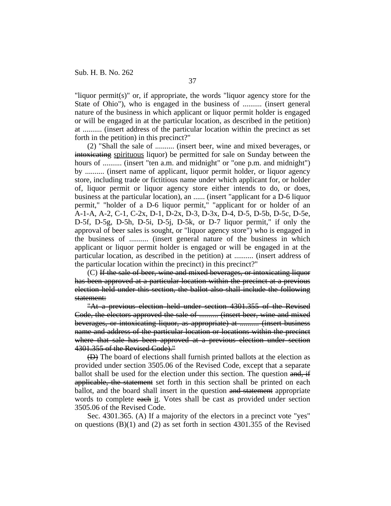"liquor permit(s)" or, if appropriate, the words "liquor agency store for the State of Ohio"), who is engaged in the business of .......... (insert general nature of the business in which applicant or liquor permit holder is engaged or will be engaged in at the particular location, as described in the petition) at .......... (insert address of the particular location within the precinct as set forth in the petition) in this precinct?"

(2) "Shall the sale of .......... (insert beer, wine and mixed beverages, or intoxicating spirituous liquor) be permitted for sale on Sunday between the hours of .......... (insert "ten a.m. and midnight" or "one p.m. and midnight") by .......... (insert name of applicant, liquor permit holder, or liquor agency store, including trade or fictitious name under which applicant for, or holder of, liquor permit or liquor agency store either intends to do, or does, business at the particular location), an ...... (insert "applicant for a D-6 liquor permit," "holder of a D-6 liquor permit," "applicant for or holder of an A-1-A, A-2, C-1, C-2x, D-1, D-2x, D-3, D-3x, D-4, D-5, D-5b, D-5c, D-5e, D-5f, D-5g, D-5h, D-5i, D-5j, D-5k, or D-7 liquor permit," if only the approval of beer sales is sought, or "liquor agency store") who is engaged in the business of .......... (insert general nature of the business in which applicant or liquor permit holder is engaged or will be engaged in at the particular location, as described in the petition) at .......... (insert address of the particular location within the precinct) in this precinct?"

(C) If the sale of beer, wine and mixed beverages, or intoxicating liquor has been approved at a particular location within the precinct at a previous election held under this section, the ballot also shall include the following statement:

"At a previous election held under section 4301.355 of the Revised Code, the electors approved the sale of .......... (insert beer, wine and mixed beverages, or intoxicating liquor, as appropriate) at .......... (insert business name and address of the particular location or locations within the precinct where that sale has been approved at a previous election under section 4301.355 of the Revised Code)."

(D) The board of elections shall furnish printed ballots at the election as provided under section 3505.06 of the Revised Code, except that a separate ballot shall be used for the election under this section. The question and, if applicable, the statement set forth in this section shall be printed on each ballot, and the board shall insert in the question and statement appropriate words to complete each it. Votes shall be cast as provided under section 3505.06 of the Revised Code.

Sec. 4301.365. (A) If a majority of the electors in a precinct vote "yes" on questions (B)(1) and (2) as set forth in section 4301.355 of the Revised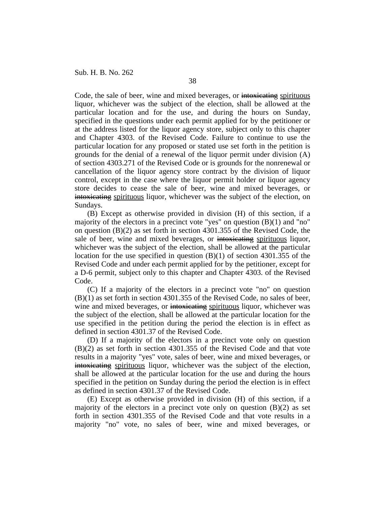Code, the sale of beer, wine and mixed beverages, or intoxicating spirituous liquor, whichever was the subject of the election, shall be allowed at the particular location and for the use, and during the hours on Sunday, specified in the questions under each permit applied for by the petitioner or at the address listed for the liquor agency store, subject only to this chapter and Chapter 4303. of the Revised Code. Failure to continue to use the particular location for any proposed or stated use set forth in the petition is grounds for the denial of a renewal of the liquor permit under division (A) of section 4303.271 of the Revised Code or is grounds for the nonrenewal or cancellation of the liquor agency store contract by the division of liquor control, except in the case where the liquor permit holder or liquor agency store decides to cease the sale of beer, wine and mixed beverages, or intoxicating spirituous liquor, whichever was the subject of the election, on Sundays.

(B) Except as otherwise provided in division (H) of this section, if a majority of the electors in a precinct vote "yes" on question (B)(1) and "no" on question (B)(2) as set forth in section 4301.355 of the Revised Code, the sale of beer, wine and mixed beverages, or intoxicating spirituous liquor, whichever was the subject of the election, shall be allowed at the particular location for the use specified in question (B)(1) of section 4301.355 of the Revised Code and under each permit applied for by the petitioner, except for a D-6 permit, subject only to this chapter and Chapter 4303. of the Revised Code.

(C) If a majority of the electors in a precinct vote "no" on question (B)(1) as set forth in section 4301.355 of the Revised Code, no sales of beer, wine and mixed beverages, or intoxicating spirituous liquor, whichever was the subject of the election, shall be allowed at the particular location for the use specified in the petition during the period the election is in effect as defined in section 4301.37 of the Revised Code.

(D) If a majority of the electors in a precinct vote only on question (B)(2) as set forth in section 4301.355 of the Revised Code and that vote results in a majority "yes" vote, sales of beer, wine and mixed beverages, or intoxicating spirituous liquor, whichever was the subject of the election, shall be allowed at the particular location for the use and during the hours specified in the petition on Sunday during the period the election is in effect as defined in section 4301.37 of the Revised Code.

(E) Except as otherwise provided in division (H) of this section, if a majority of the electors in a precinct vote only on question  $(B)(2)$  as set forth in section 4301.355 of the Revised Code and that vote results in a majority "no" vote, no sales of beer, wine and mixed beverages, or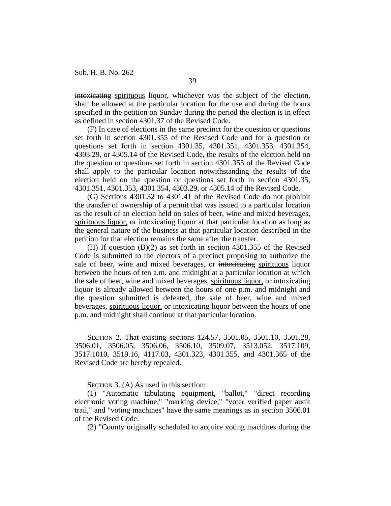intoxicating spirituous liquor, whichever was the subject of the election, shall be allowed at the particular location for the use and during the hours specified in the petition on Sunday during the period the election is in effect as defined in section 4301.37 of the Revised Code.

(F) In case of elections in the same precinct for the question or questions set forth in section 4301.355 of the Revised Code and for a question or questions set forth in section 4301.35, 4301.351, 4301.353, 4301.354, 4303.29, or 4305.14 of the Revised Code, the results of the election held on the question or questions set forth in section 4301.355 of the Revised Code shall apply to the particular location notwithstanding the results of the election held on the question or questions set forth in section 4301.35, 4301.351, 4301.353, 4301.354, 4303.29, or 4305.14 of the Revised Code.

(G) Sections 4301.32 to 4301.41 of the Revised Code do not prohibit the transfer of ownership of a permit that was issued to a particular location as the result of an election held on sales of beer, wine and mixed beverages, spirituous liquor, or intoxicating liquor at that particular location as long as the general nature of the business at that particular location described in the petition for that election remains the same after the transfer.

(H) If question (B)(2) as set forth in section 4301.355 of the Revised Code is submitted to the electors of a precinct proposing to authorize the sale of beer, wine and mixed beverages, or intoxicating spirituous liquor between the hours of ten a.m. and midnight at a particular location at which the sale of beer, wine and mixed beverages, spirituous liquor, or intoxicating liquor is already allowed between the hours of one p.m. and midnight and the question submitted is defeated, the sale of beer, wine and mixed beverages, spirituous liquor, or intoxicating liquor between the hours of one p.m. and midnight shall continue at that particular location.

SECTION 2. That existing sections 124.57, 3501.05, 3501.10, 3501.28, 3506.01, 3506.05, 3506.06, 3506.10, 3509.07, 3513.052, 3517.109, 3517.1010, 3519.16, 4117.03, 4301.323, 4301.355, and 4301.365 of the Revised Code are hereby repealed.

SECTION 3. (A) As used in this section:

(1) "Automatic tabulating equipment, "ballot," "direct recording electronic voting machine," "marking device," "voter verified paper audit trail," and "voting machines" have the same meanings as in section 3506.01 of the Revised Code.

(2) "County originally scheduled to acquire voting machines during the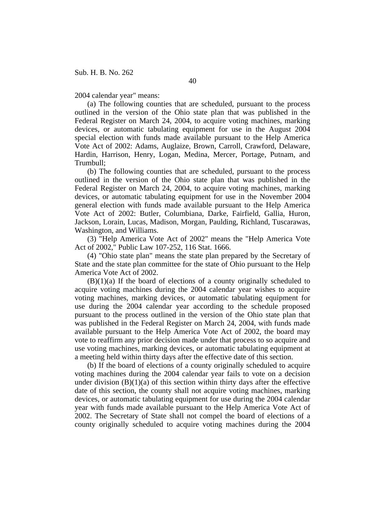2004 calendar year" means:

(a) The following counties that are scheduled, pursuant to the process outlined in the version of the Ohio state plan that was published in the Federal Register on March 24, 2004, to acquire voting machines, marking devices, or automatic tabulating equipment for use in the August 2004 special election with funds made available pursuant to the Help America Vote Act of 2002: Adams, Auglaize, Brown, Carroll, Crawford, Delaware, Hardin, Harrison, Henry, Logan, Medina, Mercer, Portage, Putnam, and Trumbull;

(b) The following counties that are scheduled, pursuant to the process outlined in the version of the Ohio state plan that was published in the Federal Register on March 24, 2004, to acquire voting machines, marking devices, or automatic tabulating equipment for use in the November 2004 general election with funds made available pursuant to the Help America Vote Act of 2002: Butler, Columbiana, Darke, Fairfield, Gallia, Huron, Jackson, Lorain, Lucas, Madison, Morgan, Paulding, Richland, Tuscarawas, Washington, and Williams.

(3) "Help America Vote Act of 2002" means the "Help America Vote Act of 2002," Public Law 107-252, 116 Stat. 1666.

(4) "Ohio state plan" means the state plan prepared by the Secretary of State and the state plan committee for the state of Ohio pursuant to the Help America Vote Act of 2002.

 $(B)(1)(a)$  If the board of elections of a county originally scheduled to acquire voting machines during the 2004 calendar year wishes to acquire voting machines, marking devices, or automatic tabulating equipment for use during the 2004 calendar year according to the schedule proposed pursuant to the process outlined in the version of the Ohio state plan that was published in the Federal Register on March 24, 2004, with funds made available pursuant to the Help America Vote Act of 2002, the board may vote to reaffirm any prior decision made under that process to so acquire and use voting machines, marking devices, or automatic tabulating equipment at a meeting held within thirty days after the effective date of this section.

(b) If the board of elections of a county originally scheduled to acquire voting machines during the 2004 calendar year fails to vote on a decision under division  $(B)(1)(a)$  of this section within thirty days after the effective date of this section, the county shall not acquire voting machines, marking devices, or automatic tabulating equipment for use during the 2004 calendar year with funds made available pursuant to the Help America Vote Act of 2002. The Secretary of State shall not compel the board of elections of a county originally scheduled to acquire voting machines during the 2004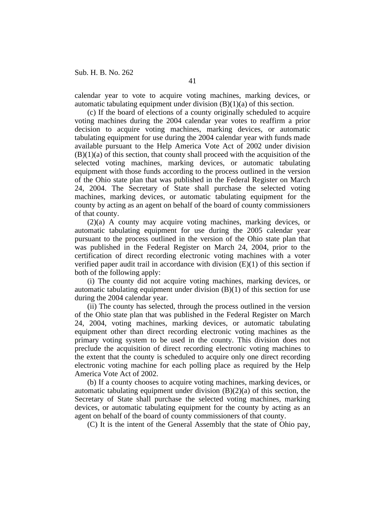calendar year to vote to acquire voting machines, marking devices, or automatic tabulating equipment under division  $(B)(1)(a)$  of this section.

(c) If the board of elections of a county originally scheduled to acquire voting machines during the 2004 calendar year votes to reaffirm a prior decision to acquire voting machines, marking devices, or automatic tabulating equipment for use during the 2004 calendar year with funds made available pursuant to the Help America Vote Act of 2002 under division  $(B)(1)(a)$  of this section, that county shall proceed with the acquisition of the selected voting machines, marking devices, or automatic tabulating equipment with those funds according to the process outlined in the version of the Ohio state plan that was published in the Federal Register on March 24, 2004. The Secretary of State shall purchase the selected voting machines, marking devices, or automatic tabulating equipment for the county by acting as an agent on behalf of the board of county commissioners of that county.

(2)(a) A county may acquire voting machines, marking devices, or automatic tabulating equipment for use during the 2005 calendar year pursuant to the process outlined in the version of the Ohio state plan that was published in the Federal Register on March 24, 2004, prior to the certification of direct recording electronic voting machines with a voter verified paper audit trail in accordance with division (E)(1) of this section if both of the following apply:

(i) The county did not acquire voting machines, marking devices, or automatic tabulating equipment under division (B)(1) of this section for use during the 2004 calendar year.

(ii) The county has selected, through the process outlined in the version of the Ohio state plan that was published in the Federal Register on March 24, 2004, voting machines, marking devices, or automatic tabulating equipment other than direct recording electronic voting machines as the primary voting system to be used in the county. This division does not preclude the acquisition of direct recording electronic voting machines to the extent that the county is scheduled to acquire only one direct recording electronic voting machine for each polling place as required by the Help America Vote Act of 2002.

(b) If a county chooses to acquire voting machines, marking devices, or automatic tabulating equipment under division  $(B)(2)(a)$  of this section, the Secretary of State shall purchase the selected voting machines, marking devices, or automatic tabulating equipment for the county by acting as an agent on behalf of the board of county commissioners of that county.

(C) It is the intent of the General Assembly that the state of Ohio pay,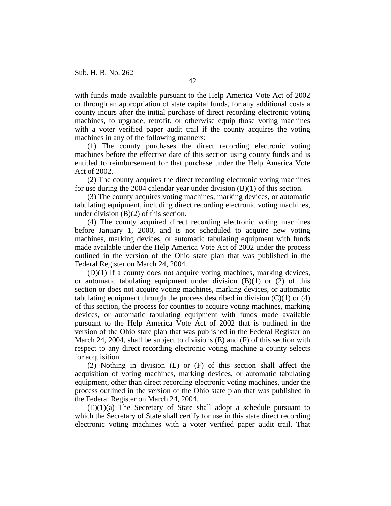with funds made available pursuant to the Help America Vote Act of 2002 or through an appropriation of state capital funds, for any additional costs a county incurs after the initial purchase of direct recording electronic voting machines, to upgrade, retrofit, or otherwise equip those voting machines with a voter verified paper audit trail if the county acquires the voting machines in any of the following manners:

(1) The county purchases the direct recording electronic voting machines before the effective date of this section using county funds and is entitled to reimbursement for that purchase under the Help America Vote Act of 2002.

(2) The county acquires the direct recording electronic voting machines for use during the 2004 calendar year under division (B)(1) of this section.

(3) The county acquires voting machines, marking devices, or automatic tabulating equipment, including direct recording electronic voting machines, under division (B)(2) of this section.

(4) The county acquired direct recording electronic voting machines before January 1, 2000, and is not scheduled to acquire new voting machines, marking devices, or automatic tabulating equipment with funds made available under the Help America Vote Act of 2002 under the process outlined in the version of the Ohio state plan that was published in the Federal Register on March 24, 2004.

(D)(1) If a county does not acquire voting machines, marking devices, or automatic tabulating equipment under division  $(B)(1)$  or  $(2)$  of this section or does not acquire voting machines, marking devices, or automatic tabulating equipment through the process described in division  $(C)(1)$  or  $(4)$ of this section, the process for counties to acquire voting machines, marking devices, or automatic tabulating equipment with funds made available pursuant to the Help America Vote Act of 2002 that is outlined in the version of the Ohio state plan that was published in the Federal Register on March 24, 2004, shall be subject to divisions (E) and (F) of this section with respect to any direct recording electronic voting machine a county selects for acquisition.

(2) Nothing in division (E) or (F) of this section shall affect the acquisition of voting machines, marking devices, or automatic tabulating equipment, other than direct recording electronic voting machines, under the process outlined in the version of the Ohio state plan that was published in the Federal Register on March 24, 2004.

(E)(1)(a) The Secretary of State shall adopt a schedule pursuant to which the Secretary of State shall certify for use in this state direct recording electronic voting machines with a voter verified paper audit trail. That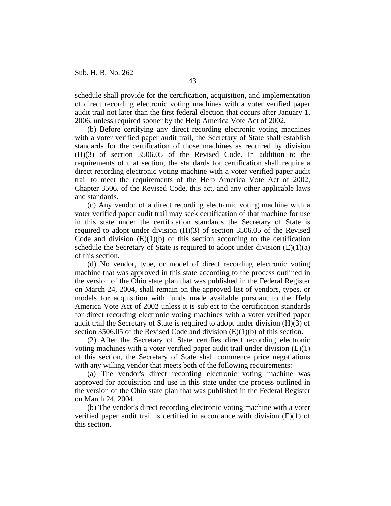schedule shall provide for the certification, acquisition, and implementation of direct recording electronic voting machines with a voter verified paper audit trail not later than the first federal election that occurs after January 1, 2006, unless required sooner by the Help America Vote Act of 2002.

(b) Before certifying any direct recording electronic voting machines with a voter verified paper audit trail, the Secretary of State shall establish standards for the certification of those machines as required by division (H)(3) of section 3506.05 of the Revised Code. In addition to the requirements of that section, the standards for certification shall require a direct recording electronic voting machine with a voter verified paper audit trail to meet the requirements of the Help America Vote Act of 2002, Chapter 3506. of the Revised Code, this act, and any other applicable laws and standards.

(c) Any vendor of a direct recording electronic voting machine with a voter verified paper audit trail may seek certification of that machine for use in this state under the certification standards the Secretary of State is required to adopt under division (H)(3) of section 3506.05 of the Revised Code and division  $(E)(1)(b)$  of this section according to the certification schedule the Secretary of State is required to adopt under division  $(E)(1)(a)$ of this section.

(d) No vendor, type, or model of direct recording electronic voting machine that was approved in this state according to the process outlined in the version of the Ohio state plan that was published in the Federal Register on March 24, 2004, shall remain on the approved list of vendors, types, or models for acquisition with funds made available pursuant to the Help America Vote Act of 2002 unless it is subject to the certification standards for direct recording electronic voting machines with a voter verified paper audit trail the Secretary of State is required to adopt under division (H)(3) of section 3506.05 of the Revised Code and division (E)(1)(b) of this section.

(2) After the Secretary of State certifies direct recording electronic voting machines with a voter verified paper audit trail under division (E)(1) of this section, the Secretary of State shall commence price negotiations with any willing vendor that meets both of the following requirements:

(a) The vendor's direct recording electronic voting machine was approved for acquisition and use in this state under the process outlined in the version of the Ohio state plan that was published in the Federal Register on March 24, 2004.

(b) The vendor's direct recording electronic voting machine with a voter verified paper audit trail is certified in accordance with division  $(E)(1)$  of this section.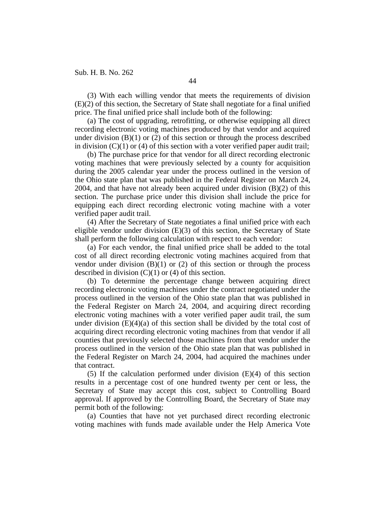(3) With each willing vendor that meets the requirements of division (E)(2) of this section, the Secretary of State shall negotiate for a final unified price. The final unified price shall include both of the following:

(a) The cost of upgrading, retrofitting, or otherwise equipping all direct recording electronic voting machines produced by that vendor and acquired under division  $(B)(1)$  or  $(2)$  of this section or through the process described in division  $(C)(1)$  or (4) of this section with a voter verified paper audit trail;

(b) The purchase price for that vendor for all direct recording electronic voting machines that were previously selected by a county for acquisition during the 2005 calendar year under the process outlined in the version of the Ohio state plan that was published in the Federal Register on March 24, 2004, and that have not already been acquired under division  $(B)(2)$  of this section. The purchase price under this division shall include the price for equipping each direct recording electronic voting machine with a voter verified paper audit trail.

(4) After the Secretary of State negotiates a final unified price with each eligible vendor under division (E)(3) of this section, the Secretary of State shall perform the following calculation with respect to each vendor:

(a) For each vendor, the final unified price shall be added to the total cost of all direct recording electronic voting machines acquired from that vendor under division  $(B)(1)$  or  $(2)$  of this section or through the process described in division  $(C)(1)$  or  $(4)$  of this section.

(b) To determine the percentage change between acquiring direct recording electronic voting machines under the contract negotiated under the process outlined in the version of the Ohio state plan that was published in the Federal Register on March 24, 2004, and acquiring direct recording electronic voting machines with a voter verified paper audit trail, the sum under division  $(E)(4)(a)$  of this section shall be divided by the total cost of acquiring direct recording electronic voting machines from that vendor if all counties that previously selected those machines from that vendor under the process outlined in the version of the Ohio state plan that was published in the Federal Register on March 24, 2004, had acquired the machines under that contract.

(5) If the calculation performed under division (E)(4) of this section results in a percentage cost of one hundred twenty per cent or less, the Secretary of State may accept this cost, subject to Controlling Board approval. If approved by the Controlling Board, the Secretary of State may permit both of the following:

(a) Counties that have not yet purchased direct recording electronic voting machines with funds made available under the Help America Vote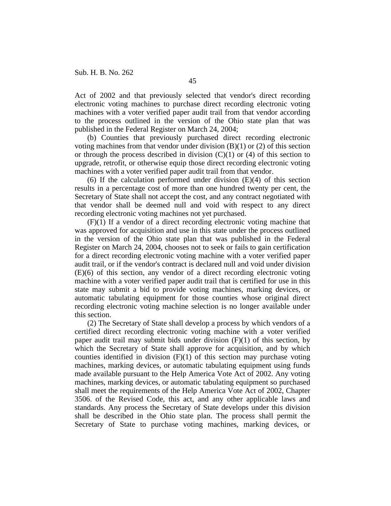Act of 2002 and that previously selected that vendor's direct recording electronic voting machines to purchase direct recording electronic voting machines with a voter verified paper audit trail from that vendor according to the process outlined in the version of the Ohio state plan that was published in the Federal Register on March 24, 2004;

(b) Counties that previously purchased direct recording electronic voting machines from that vendor under division  $(B)(1)$  or  $(2)$  of this section or through the process described in division  $(C)(1)$  or  $(4)$  of this section to upgrade, retrofit, or otherwise equip those direct recording electronic voting machines with a voter verified paper audit trail from that vendor.

(6) If the calculation performed under division  $(E)(4)$  of this section results in a percentage cost of more than one hundred twenty per cent, the Secretary of State shall not accept the cost, and any contract negotiated with that vendor shall be deemed null and void with respect to any direct recording electronic voting machines not yet purchased.

(F)(1) If a vendor of a direct recording electronic voting machine that was approved for acquisition and use in this state under the process outlined in the version of the Ohio state plan that was published in the Federal Register on March 24, 2004, chooses not to seek or fails to gain certification for a direct recording electronic voting machine with a voter verified paper audit trail, or if the vendor's contract is declared null and void under division (E)(6) of this section, any vendor of a direct recording electronic voting machine with a voter verified paper audit trail that is certified for use in this state may submit a bid to provide voting machines, marking devices, or automatic tabulating equipment for those counties whose original direct recording electronic voting machine selection is no longer available under this section.

(2) The Secretary of State shall develop a process by which vendors of a certified direct recording electronic voting machine with a voter verified paper audit trail may submit bids under division (F)(1) of this section, by which the Secretary of State shall approve for acquisition, and by which counties identified in division  $(F)(1)$  of this section may purchase voting machines, marking devices, or automatic tabulating equipment using funds made available pursuant to the Help America Vote Act of 2002. Any voting machines, marking devices, or automatic tabulating equipment so purchased shall meet the requirements of the Help America Vote Act of 2002, Chapter 3506. of the Revised Code, this act, and any other applicable laws and standards. Any process the Secretary of State develops under this division shall be described in the Ohio state plan. The process shall permit the Secretary of State to purchase voting machines, marking devices, or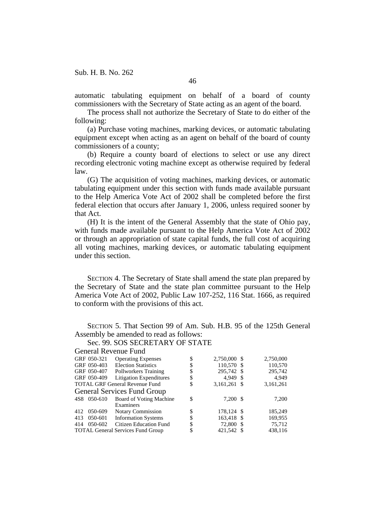automatic tabulating equipment on behalf of a board of county commissioners with the Secretary of State acting as an agent of the board.

The process shall not authorize the Secretary of State to do either of the following:

(a) Purchase voting machines, marking devices, or automatic tabulating equipment except when acting as an agent on behalf of the board of county commissioners of a county;

(b) Require a county board of elections to select or use any direct recording electronic voting machine except as otherwise required by federal law.

(G) The acquisition of voting machines, marking devices, or automatic tabulating equipment under this section with funds made available pursuant to the Help America Vote Act of 2002 shall be completed before the first federal election that occurs after January 1, 2006, unless required sooner by that Act.

(H) It is the intent of the General Assembly that the state of Ohio pay, with funds made available pursuant to the Help America Vote Act of 2002 or through an appropriation of state capital funds, the full cost of acquiring all voting machines, marking devices, or automatic tabulating equipment under this section.

SECTION 4. The Secretary of State shall amend the state plan prepared by the Secretary of State and the state plan committee pursuant to the Help America Vote Act of 2002, Public Law 107-252, 116 Stat. 1666, as required to conform with the provisions of this act.

SECTION 5. That Section 99 of Am. Sub. H.B. 95 of the 125th General Assembly be amended to read as follows:

#### Sec. 99. SOS SECRETARY OF STATE General Revenue Fund

| General Revenue Fund                  |             |                                          |    |              |  |           |  |  |  |  |
|---------------------------------------|-------------|------------------------------------------|----|--------------|--|-----------|--|--|--|--|
|                                       | GRF 050-321 | <b>Operating Expenses</b>                | \$ | 2,750,000 \$ |  | 2,750,000 |  |  |  |  |
|                                       | GRF 050-403 | <b>Election Statistics</b>               | \$ | 110,570 \$   |  | 110,570   |  |  |  |  |
|                                       | GRF 050-407 | Pollworkers Training                     | \$ | 295,742 \$   |  | 295,742   |  |  |  |  |
|                                       | GRF 050-409 | <b>Litigation Expenditures</b>           | \$ | 4.949 \$     |  | 4,949     |  |  |  |  |
| <b>TOTAL GRF General Revenue Fund</b> |             |                                          | \$ | 3,161,261 \$ |  | 3,161,261 |  |  |  |  |
| <b>General Services Fund Group</b>    |             |                                          |    |              |  |           |  |  |  |  |
|                                       | 4S8 050-610 | Board of Voting Machine                  | \$ | 7,200 \$     |  | 7,200     |  |  |  |  |
|                                       |             | Examiners                                |    |              |  |           |  |  |  |  |
| 412                                   | 050-609     | <b>Notary Commission</b>                 | \$ | 178,124 \$   |  | 185,249   |  |  |  |  |
| 413                                   | 050-601     | <b>Information Systems</b>               | \$ | 163,418 \$   |  | 169,955   |  |  |  |  |
| 414                                   | 050-602     | <b>Citizen Education Fund</b>            | \$ | 72,800 \$    |  | 75,712    |  |  |  |  |
|                                       |             | <b>TOTAL General Services Fund Group</b> | \$ | 421.542 \$   |  | 438,116   |  |  |  |  |
|                                       |             |                                          |    |              |  |           |  |  |  |  |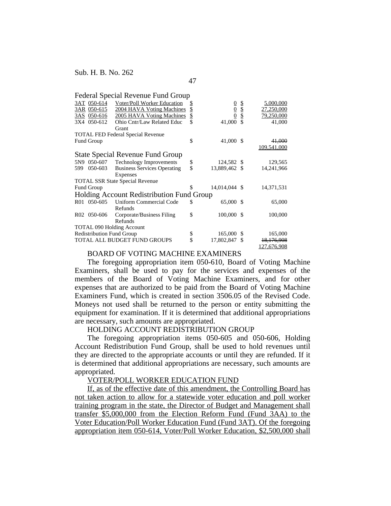|                                           |                   | Federal Special Revenue Fund Group |    |               |                  |                       |  |  |  |  |
|-------------------------------------------|-------------------|------------------------------------|----|---------------|------------------|-----------------------|--|--|--|--|
|                                           | 3AT 050-614       | Voter/Poll Worker Education        | S  |               |                  | 5,000,000             |  |  |  |  |
|                                           | 3AR 050-615       | 2004 HAVA Voting Machines          | \$ | $\frac{0}{0}$ | <u>।</u><br>जन्म | 27,250,000            |  |  |  |  |
|                                           | 3AS 050-616       | 2005 HAVA Voting Machines          | \$ |               |                  | 79,250,000            |  |  |  |  |
| 3X4                                       | 050-612           | Ohio Cntr/Law Related Educ         | \$ | 41,000        |                  | 41,000                |  |  |  |  |
|                                           |                   | Grant                              |    |               |                  |                       |  |  |  |  |
| <b>TOTAL FED Federal Special Revenue</b>  |                   |                                    |    |               |                  |                       |  |  |  |  |
|                                           | <b>Fund Group</b> |                                    | \$ | 41,000 \$     |                  | 41,000                |  |  |  |  |
|                                           |                   |                                    |    |               |                  | 109,541,000           |  |  |  |  |
| <b>State Special Revenue Fund Group</b>   |                   |                                    |    |               |                  |                       |  |  |  |  |
|                                           | 5N9 050-607       | <b>Technology Improvements</b>     | \$ | 124,582 \$    |                  | 129,565               |  |  |  |  |
| 599                                       | 050-603           | <b>Business Services Operating</b> | \$ | 13,889,462 \$ |                  | 14,241,966            |  |  |  |  |
|                                           |                   | Expenses                           |    |               |                  |                       |  |  |  |  |
| <b>TOTAL SSR State Special Revenue</b>    |                   |                                    |    |               |                  |                       |  |  |  |  |
| <b>Fund Group</b>                         |                   |                                    | S  | 14,014,044 \$ |                  | 14,371,531            |  |  |  |  |
| Holding Account Redistribution Fund Group |                   |                                    |    |               |                  |                       |  |  |  |  |
| R01                                       | 050-605           | Uniform Commercial Code            | \$ | 65,000        | -\$              | 65,000                |  |  |  |  |
|                                           |                   | Refunds                            |    |               |                  |                       |  |  |  |  |
|                                           | R02 050-606       | Corporate/Business Filing          | \$ | 100,000       | -S               | 100,000               |  |  |  |  |
|                                           |                   | Refunds                            |    |               |                  |                       |  |  |  |  |
|                                           |                   | <b>TOTAL 090 Holding Account</b>   |    |               |                  |                       |  |  |  |  |
| <b>Redistribution Fund Group</b>          |                   |                                    | \$ | 165,000       | -S               | 165,000               |  |  |  |  |
| TOTAL ALL BUDGET FUND GROUPS              |                   |                                    | \$ | 17,802,847    | £.               | <del>18,176,908</del> |  |  |  |  |
|                                           |                   |                                    |    |               |                  | 127,676,908           |  |  |  |  |

47

# BOARD OF VOTING MACHINE EXAMINERS

The foregoing appropriation item 050-610, Board of Voting Machine Examiners, shall be used to pay for the services and expenses of the members of the Board of Voting Machine Examiners, and for other expenses that are authorized to be paid from the Board of Voting Machine Examiners Fund, which is created in section 3506.05 of the Revised Code. Moneys not used shall be returned to the person or entity submitting the equipment for examination. If it is determined that additional appropriations are necessary, such amounts are appropriated.

## HOLDING ACCOUNT REDISTRIBUTION GROUP

The foregoing appropriation items 050-605 and 050-606, Holding Account Redistribution Fund Group, shall be used to hold revenues until they are directed to the appropriate accounts or until they are refunded. If it is determined that additional appropriations are necessary, such amounts are appropriated.

# VOTER/POLL WORKER EDUCATION FUND

If, as of the effective date of this amendment, the Controlling Board has not taken action to allow for a statewide voter education and poll worker training program in the state, the Director of Budget and Management shall transfer \$5,000,000 from the Election Reform Fund (Fund 3AA) to the Voter Education/Poll Worker Education Fund (Fund 3AT). Of the foregoing appropriation item 050-614, Voter/Poll Worker Education, \$2,500,000 shall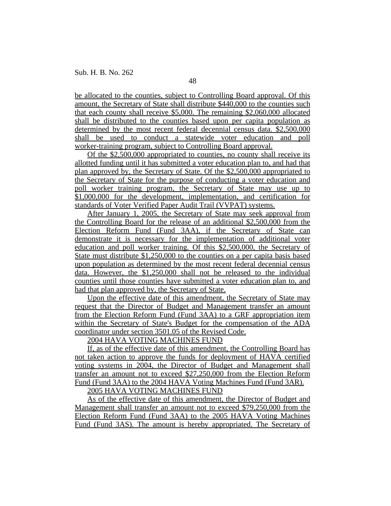be allocated to the counties, subject to Controlling Board approval. Of this amount, the Secretary of State shall distribute \$440,000 to the counties such that each county shall receive \$5,000. The remaining \$2,060,000 allocated shall be distributed to the counties based upon per capita population as determined by the most recent federal decennial census data. \$2,500,000 shall be used to conduct a statewide voter education and poll worker-training program, subject to Controlling Board approval.

Of the \$2,500,000 appropriated to counties, no county shall receive its allotted funding until it has submitted a voter education plan to, and had that plan approved by, the Secretary of State. Of the \$2,500,000 appropriated to the Secretary of State for the purpose of conducting a voter education and poll worker training program, the Secretary of State may use up to \$1,000,000 for the development, implementation, and certification for standards of Voter Verified Paper Audit Trail (VVPAT) systems.

After January 1, 2005, the Secretary of State may seek approval from the Controlling Board for the release of an additional \$2,500,000 from the Election Reform Fund (Fund 3AA), if the Secretary of State can demonstrate it is necessary for the implementation of additional voter education and poll worker training. Of this \$2,500,000, the Secretary of State must distribute \$1,250,000 to the counties on a per capita basis based upon population as determined by the most recent federal decennial census data. However, the \$1,250,000 shall not be released to the individual counties until those counties have submitted a voter education plan to, and had that plan approved by, the Secretary of State.

Upon the effective date of this amendment, the Secretary of State may request that the Director of Budget and Management transfer an amount from the Election Reform Fund (Fund 3AA) to a GRF appropriation item within the Secretary of State's Budget for the compensation of the ADA coordinator under section 3501.05 of the Revised Code.

## 2004 HAVA VOTING MACHINES FUND

If, as of the effective date of this amendment, the Controlling Board has not taken action to approve the funds for deployment of HAVA certified voting systems in 2004, the Director of Budget and Management shall transfer an amount not to exceed \$27,250,000 from the Election Reform Fund (Fund 3AA) to the 2004 HAVA Voting Machines Fund (Fund 3AR).

2005 HAVA VOTING MACHINES FUND

As of the effective date of this amendment, the Director of Budget and Management shall transfer an amount not to exceed \$79,250,000 from the Election Reform Fund (Fund 3AA) to the 2005 HAVA Voting Machines Fund (Fund 3AS). The amount is hereby appropriated. The Secretary of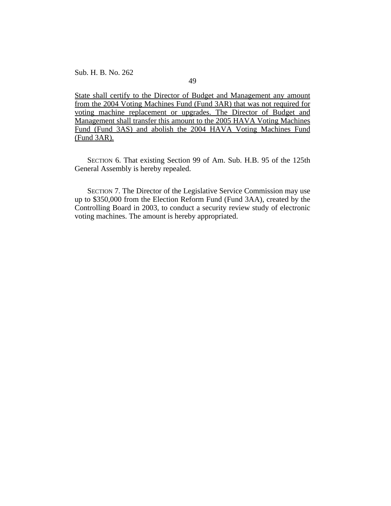49

State shall certify to the Director of Budget and Management any amount from the 2004 Voting Machines Fund (Fund 3AR) that was not required for voting machine replacement or upgrades. The Director of Budget and Management shall transfer this amount to the 2005 HAVA Voting Machines Fund (Fund 3AS) and abolish the 2004 HAVA Voting Machines Fund (Fund 3AR).

SECTION 6. That existing Section 99 of Am. Sub. H.B. 95 of the 125th General Assembly is hereby repealed.

SECTION 7. The Director of the Legislative Service Commission may use up to \$350,000 from the Election Reform Fund (Fund 3AA), created by the Controlling Board in 2003, to conduct a security review study of electronic voting machines. The amount is hereby appropriated.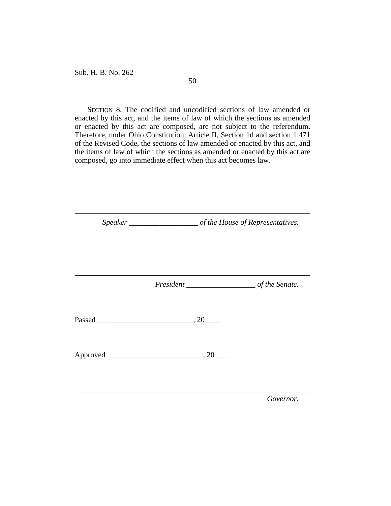SECTION 8. The codified and uncodified sections of law amended or enacted by this act, and the items of law of which the sections as amended or enacted by this act are composed, are not subject to the referendum. Therefore, under Ohio Constitution, Article II, Section 1d and section 1.471 of the Revised Code, the sections of law amended or enacted by this act, and the items of law of which the sections as amended or enacted by this act are composed, go into immediate effect when this act becomes law.

*Speaker \_\_\_\_\_\_\_\_\_\_\_\_\_\_\_\_\_\_ of the House of Representatives. President \_\_\_\_\_\_\_\_\_\_\_\_\_\_\_\_\_\_ of the Senate.* Passed \_\_\_\_\_\_\_\_\_\_\_\_\_\_\_\_\_\_\_\_\_\_\_\_\_, 20\_\_\_\_ Approved \_\_\_\_\_\_\_\_\_\_\_\_\_\_\_\_\_\_\_\_\_\_\_\_\_, 20\_\_\_\_

*Governor.*

50